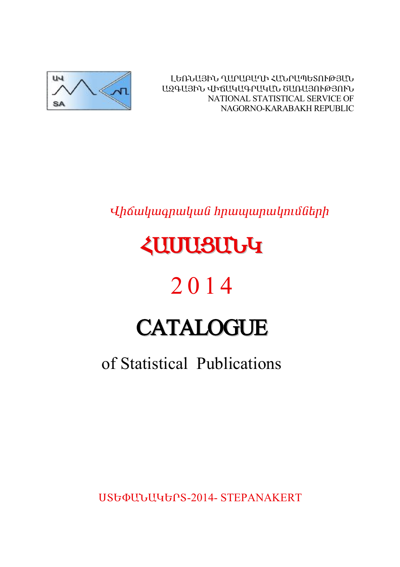

ԼԵՌՆԱՅԻՆ ՂԱՐԱԲԱՂԻ ՀԱՆՐԱՊԵՏՈՒԹՅԱՆ ԱԶԳԱՅԻՆ ՎԻճԱԿԱԳՐԱԿԱՆ ԾԱՌԱՅՈՒԹՅՈՒՆ NATIONAL STATISTICAL SERVICE OF NAGORNO-KARABAKH REPUBLIC

Վիճակագրական հրապարակումների

# *<u><u><b>ZUUUSUUG</u>*</u>

# 2014

# **CATALOGUE**

# of Statistical Publications

**UStalluluterS-2014-STEPANAKERT**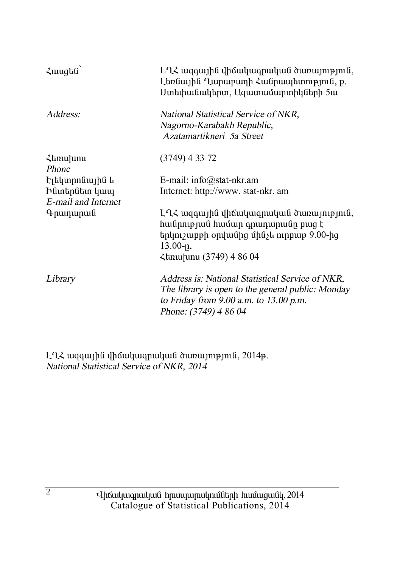| $\lambda$ wugha                                        | $L\Omega$ Հ ազգային վիճակագրական ծառայություն,<br>Լեռնային Ղարաբաղի Հանրապետություն, ք.<br>Ստեփանակերտ, Ազատամարտիկների 5ա                                               |
|--------------------------------------------------------|--------------------------------------------------------------------------------------------------------------------------------------------------------------------------|
| Address:                                               | National Statistical Service of NKR,<br>Nagorno-Karabakh Republic,<br>Azatamartikneri 5a Street                                                                          |
| <b><i><u></u></i></b> <i><b>stanurumu</b></i><br>Phone | $(3749)$ 4 33 72                                                                                                                                                         |
| Էլեկտրոնային և                                         | E-mail: $info@stat-nkr am$                                                                                                                                               |
| Ինտերնետ կապ                                           | Internet: http://www. stat-nkr. am                                                                                                                                       |
| E-mail and Internet                                    |                                                                                                                                                                          |
| Գրադարան                                               | $L\Omega$ Հ ազգային վիճակագրական ծառայություն,<br>հանրության համար գրադարանը բաց է<br>երկուշաբթի օրվանից մինչև ուրբաթ 9.00-ից<br>$13.00 - p$ ,<br>Հեռախոս (3749) 4 86 04 |
| Library                                                | Address is: National Statistical Service of NKR,<br>The library is open to the general public: Monday<br>to Friday from 9.00 a.m. to 13.00 p.m.<br>Phone: (3749) 4 86 04 |

L-L<br/>2 wqqwjhu dhowluuqnuluu downuynipynia, 2014p.<br>National Statistical Service of NKR, 2014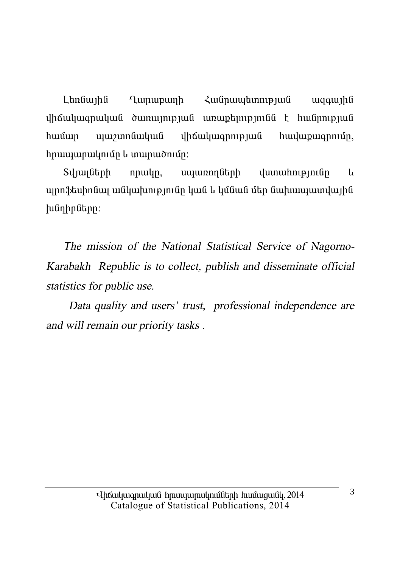Landwiha **Lunupunh** Հանոաաետության waawiha  $\psi$ huusun  $h$ n $u$ u $u$ n $u$ un $u$ n $h$   $u$  un $u$ n $u$  $\delta$ n $u$ ín:

Տվյայների  $nmu$ ln, սպառողների  $\mu$ um $\mu$ hn
p $\mu$ **u** պրոֆեսիոնալ անկախությունը կան և կմնան մեր նախապատվային  $h$ նդիրները:

The mission of the National Statistical Service of Nagorno-Karabakh Republic is to collect, publish and disseminate official statistics for public use.

Data quality and users' trust, professional independence are and will remain our priority tasks.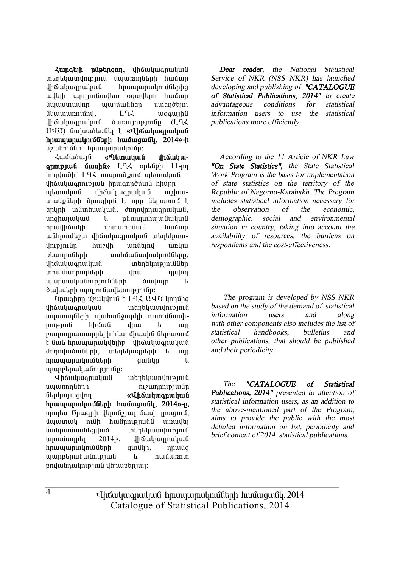*<u>Zunatih</u> nûptingin, dháwwanwwwG* տեղեկատվություն սպառողների համար ihốuiliuonuliui hnuuiunulinijűbnha uultuh unnimiliuultun oainultuni huuluin նաաստավոր աայմաններ ստեղծելու  $\lim_{u \to 0}$   $\lim_{u \to 0}$   $\lim_{u \to 0}$   $\lim_{u \to 0}$   $\lim_{u \to 0}$   $\lim_{u \to 0}$   $\lim_{u \to 0}$   $\lim_{u \to 0}$   $\lim_{u \to 0}$   $\lim_{u \to 0}$   $\lim_{u \to 0}$   $\lim_{u \to 0}$   $\lim_{u \to 0}$   $\lim_{u \to 0}$   $\lim_{u \to 0}$   $\lim_{u \to 0}$   $\lim_{u \to 0}$   $\lim_{u \to 0}$   $\lim_{u$ ihauluu uluu dunuun uluun (LLL U40) նախաձեռնել **է «Վիճակագրական hnuuuunuubnuuttah huuuuuuttu. 2014**»-h u3uudnuu habaanan dagaan dagaan dagaan dagaan dagaan dagaan dagaan dagaan dagaan dagaan dagaan dagaan dagaan da

**¿**můnámí «Պետական iháuluu**annipjui úwuhú»** L-L< ontingh 11-nn hnnyluðh` LQ2 inunuð pni unanulung վիճակագրության իրագործման hիմթը ubunuluu uhouluu iluu urhuuտանքների ծրագիրն է, որը ներառում է  $t$ inlinh infintauiliuifi, donniliniuonuiliuifi, unghuyuyuua l pauyuuhuyuauyua իրավիճակի դիտարկման համար անհրաժեշտ վիճակագրական տեղեկատվությունը՝ հաշվի առնելով առկա ntuninu Gtinh uuhuu Guuhuu uuhuu Tafabin, dhճակագոական տեղեկություններ ïñ³Ù³¹ñáÕÝ»ñÇ íñ³ ¹ñíáÕ այարտականությունների ծավալը և ծախսերի արդյունավետությունը:

Ծրագիրը մշակվում է L-L-Հ U-LԾ կողմից <u>վիճակագրական</u> տեղեկատվություն uyunnnuth uyuhwu iyunla nunuutuuhnne juli hhúw i yhu kun pաղադրատարրերի hետ միասին ներառում t նաև hրապարակվելիք վիճակագոական dnnnywdni Gtph, intintywontinh li wi hnwww.mwlmuuthin.htm owling u www.php.muluu.com

Վիճակագրական տեղեկատվություն ëå³éáÕÝ»ñÇ áõß³¹ñáõÃÛ³ÝÁ Ý»ñϳ۳óíáÕ **§ìÇ׳ϳ·ñ³Ï³Ý**  hnwwwnwynutitahh hwuugway, 2014»-n, nnutu Önwanh dtnnu31wi uwuh inwaniu, նպատակ ունի հանրությանն առավել uwinwuwikquwo mtntywwyniejni  $unnulimn$ bi $1/2014$ p.  $n$ lhoʻlululuq nulqul hnwwwnwynuathh qwayh, nnwag  $u$ արբերականության և hամառոտ  $p$ ովանդակության վերաբերյալ:

*Dear reader, the National Statistical Service of NKR (NSS NKR) has launched developing and publishing of "CATALOGUE of Statistical Publications, 2014" to create advantageous conditions for statistical information users to use the statistical publications more efficiently.* 

*According to the 11 Article of NKR Law "On State Statistics", the State Statistical Work Program is the basis for implementation of state statistics on the territory of the Republic of Nagorno-Karabakh. The Program includes statistical information necessary for the observation of the economic, demographic, social and environmental situation in country, taking into account the availability of resources, the burdens on respondents and the cost-effectiveness.* 

 *The program is developed by NSS NKR based on the study of the demand of statistical information users and along with other components also includes the list of statistical handbooks, bulletins and other publications, that should be published and their periodicity.* 

*The "CATALOGUE of Statistical Publications, 2014" presented to attention of statistical information users, as an addition to the above-mentioned part of the Program, aims to provide the public with the most detailed information on list, periodicity and brief content of 2014 statistical publications.* 

Uhauluuqnuluua hnuuuunulmuath huuuqualy, 2014 Catalogue of Statistical Publications, 2014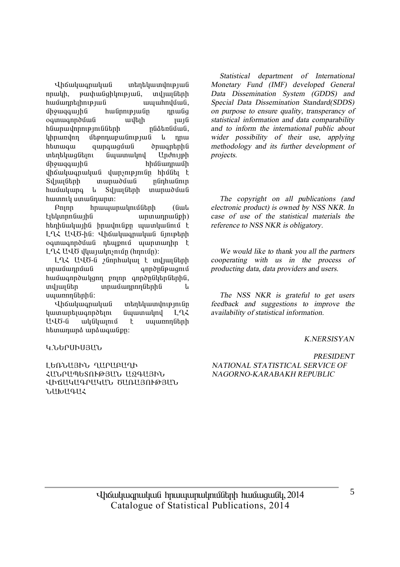**i** yhä yuqnuu yu ü nnwh, pwyhwGahlmpuwG, wylwuGthh hամադրելիության ապահովման, umquaqua que hulin que din que que de din que de din que de la possibilidad de la possibilidad de la possibili oamwanndûwli wiltich iwili hնարավորությունների րնձեռնման, lih umlan utan upun bilan bilan bilan bilan bilan bilan bilan bilan bilan bilan bilan bilan bilan bilan bilan htunwaw qunqwqu íu dnuqntnhú inboblinia finininini Undourh uman union bayang dikenali dikenali dikenali dikenali dikenali dikenali dikenali dikenali dikenali dikenali di ihauyuanuyua yunsmannan hhuati t Sıl ilin birinin birinin birinin Sılımlanın hwuuung *u* Sylwluthh mwnwduu hwunnly umwünwnn:

 $P$ nnn hnuuunuunuunuutinta (Guul  $t_1$ t $y_2$  the the final term of the term of the term of the term of the term of the term of the term of the term of the term of the term of the term of the term of the term of the term of term of the term of term of ter hեղինակային իրավունքը պատկանում է L L Z U U Ö-h G: Uhaw ywanwywa Giniptinh ogunugnnduua ntupnuu uunununhn t LLZ UUÖ dluunulmsnun (hnnun):

ÈÔÐ ²ìÌ-Ý ßÝáñѳϳÉ ¿ ïíÛ³ÉÝ»ñÇ innu un ann am ann ann an t-àine ann an t-àite ann an t-àite an t-àite an t-àite an t-àite an t-àite an t-àite hwuwanndwugnn pninn anndnuutahanhu, տվյայներ տրամադրողներին և uuunnnutunhu:

Վիճակագրական տեղեկատվությունը luununtuuannotun uunuunulnu Lu2 ԱՎԾ-ն ակնկայում է սպառողների h tunun un á un á mundigh:

*Statistical department of International Monetary Fund (IMF) developed General Data Dissemination System (GDDS) and Special Data Dissemination Standard(SDDS) on purpose to ensure quality, transperancy of statistical information and data comparability and to inform the international public about wider possibility of their use, applying methodology and its further development of projects.* 

*The copyright on all publications (and electronic product) is owned by NSS NKR. In case of use of the statistical materials the reference to NSS NKR is obligatory.* 

*We would like to thank you all the partners cooperating with us in the process of producting data, data providers and users.* 

*The NSS NKR is grateful to get users feedback and suggestions to improve the availability of statistical information.* 

#### *K.NERSISYAN*

#### **Կ.**ՆԵՐՄՒՍՅԱՆ

LEGJJUSÞJ, AUPURUAÞ вÜð²äºîàôÂÚ²Ü ²¼¶²ÚÆÜ dhollyllaellylli, blinllann@alli,  $5HbHqH\zeta$ 

*PRESIDENT NATIONAL STATISTICAL SERVICE OF NAGORNO-KARABAKH REPUBLIC*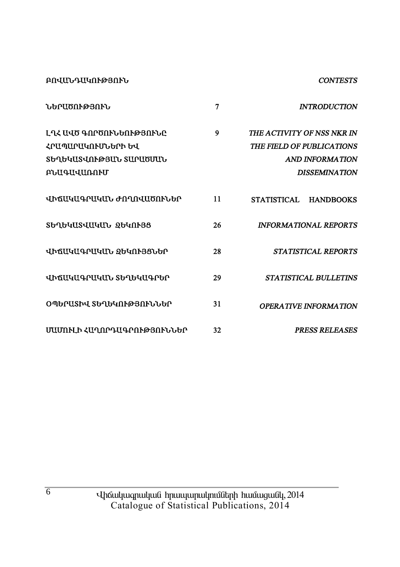**ԲՈՎԱՆԴԱԿՈՒԹՅՈՒՆ** 

#### **CONTESTS**

| <b>ՆԵՐԱԾՈՒԹՅՈՒՆ</b>                                                                       | 7  | <b>INTRODUCTION</b>                                                                                |
|-------------------------------------------------------------------------------------------|----|----------------------------------------------------------------------------------------------------|
| Լ ԴՀ ԱՎԾ ԳՈՐԾՈՒՆԵՈՒԹՅՈՒՆԸ<br>ՀՐԱՊԱՐԱԿՈՒՄՆԵՐԻ ԵՎ<br>ՏԵՂԵԿԱՏՎՈՒԹՅԱՆ ՏԱՐԱԾՄԱՆ<br>ԲՆԱԳԱՎԱՌՈՒՄ | 9  | THE ACTIVITY OF NSS NKR IN<br>THE FIELD OF PUBLICATIONS<br>AND INFORMATION<br><b>DISSEMINATION</b> |
| ՎԻՃԱԿԱԳՐԱԿԱՆ ԺՈՂՈՎԱԾՈՒՆԵՐ                                                                 | 11 | <b>STATISTICAL</b><br><b>HANDBOOKS</b>                                                             |
| ՏԵՂԵԿԱՏՎԱԿԱՆ ՁԵԿՈՒՅՑ                                                                      | 26 | <b>INFORMATIONAL REPORTS</b>                                                                       |
| ՎԻճԱԿԱԳՐԱԿԱՆ ՋԵԿՈՒՅՑՆԵՐ                                                                   | 28 | <b>STATISTICAL REPORTS</b>                                                                         |
| Jhrillylla Pilylli, Shahylla Phe                                                          | 29 | <b>STATISTICAL BULLETINS</b>                                                                       |
| ՕՊԵՐԱՏԻՎ ՏԵՂԵԿՈՒԹՅՈՒՆՆԵՐ                                                                  | 31 | <b>OPERATIVE INFORMATION</b>                                                                       |
| ՄԱՄՈՒԼԻ ՀԱՂՈՐԴԱԳՐՈՒԹՅՈՒՆՆԵՐ                                                               | 32 | <b>PRESS RELEASES</b>                                                                              |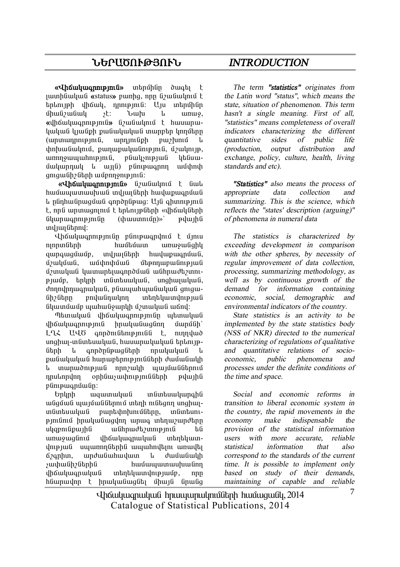#### **ܺð²ÌàôÂÚàôÜ** *INTRODUCTION*

**«Վիճակագրություն»** տերմինը ծագել է iuunhuuluud «status» puunha, nnn <u>G</u>auduuluud t  $\frac{1}{2}$ baharah information in the information umuli shing is the st: Unit is the unit of the unit of the unit of the unit of the unit of the unit of the unit **«***iháwiwannipiniû» G*/*wGwinini t hwwwnw-* $\lim_{\theta \to 0}$  in the pullupper interest in the limit in  $(u$ mnunnnn $\mathbf{p}$ ini $\hat{a}$ , unnini $\hat{a}$ ioh puizhini $\hat{a}$   $\hat{b}$  $\psi$ hhuu Gwynui, pwnw pwymu Gnielania, úzwynia, uinnouuuuhnipinia. paulisnipiua libauuumanul le undi) rumann unithah qnıquı Gh 2 Ghph wupnnonup pu G:

**«Վիճակագրություն»** նշանակում է նաև  $h$ uu $\tilde{h}$ uunuunuunuun $\tilde{h}$  indiuu $\tilde{h}$ huunuunuunuunuunuun lı nünhwünwquuu annonüpwq: U10 ahunupintu է, որն արտացոլում է երևույթների «վիճակների Gluunwannupintan (thwuunnun)»' puluuha und jun Gannd:

vháwww. áÉáñïÝ»ñÇ ѳٻٳï ³é³ç³ÝóÇÏ aunouaunun, induutah huidupuonuufi. Ú) uluðula beyrir staðar þessur þessur að þegar að þegar að þegar hefur að þegar að þegar hefur sem þegar hefu ú *z*unuluu luunun buuqn nduu du uuh pudt *zunn*puuutp. tinunh in uutuu kuuluu ili unghuu uu uu fi. danadanuonulaufi, pfiuunuhunufiuluufi omou-Gh Gunn pnyu Gilingin untin tyung mangkat նկատմամբ պահանջարկի մշտական աճով:

Thanuluu Guhauluu ilmanin muun alunuluu Guhauluu Guhauluu Guhauluu Guhauluu Guhauluu Guhauluu Guhauluu Guhauluu Gu ihauyuu inug huuyuu duqin dunugh LL2 UUT annomultanpinula t, nunnyuno unghuy-in Gintauu yu G, huu ui puyu yu Gi talini p-Gtnh l annðnGpwaGtnh nnwhwhwG l pանակական hարաբերությունների ժամանակի և տարածության որոշակի պայմաններում nnulnnulnn onhümsuuhnupintu ühn puluuhu  $\n *p*$ fin $i$  $\n *p*$ in $i$ 

ºñÏñÇ ³½³ï³Ï³Ý ïÝï»ë³Ï³ñ·ÇÝ ulguul yuyuwalitanu waha nilagan unghuyin Guntau undia na kuningan kungkun pada kuning mangkun kungkun kungkun kungkun kungkun kungkun kungkun kungku pini inu hulu mandan kuntu qilan bir islamlar uharmfinunhfi ufihnudhennipinifi hfi unuvugunu dhouluuqnuluu uhntuundniejwű uwwpnnathana www.hndtini wpwdti  $6$ ?gnhu, unduluuhuuluun la duuluululuh *s*ափանիշներին hամապատասխանող վիճակագրական տեղեկատվությամբ, որը hնարավոր է իրականացնել միայն նրանց

*The term "statistics" originates from the Latin word "status", which means the state, situation of phenomenon. This term hasn't <sup>a</sup> single meaning. First of all, "statistics" means completeness of overall indicators characterizing the different quantitative sides of public life (production, output distribution and exchange, policy, culture, health, living standards and etc).* 

*"Statistics" also means the process of appropriate data collection and summarizing. This is the science, which reflects the "states' description (arguing)" of phenomena in numeral data* 

*The statistics is characterized by exceeding development in comparison with the other spheres, by necessity of regular improvement of data collection, processing, summarizing methodology, as well as by continuous growth of the demand for information containing economic, social, demographic and environmental indicators of the country.* 

*State statistics is an activity to be implemented by the state statistics body (NSS of NKR) directed to the numerical characterizing of regulations of qualitative and quantitative relations of socioeconomic, public phenomena and processes under the definite conditions of the time and space.* 

*Social and economic reforms in transition to liberal economic system in the country, the rapid movements in the economy make indispensable the provision of the statistical information users with more accurate, reliable statistical information that also correspond to the standards of the current time. It is possible to implement only based on study of their demands, maintaining of capable and reliable* 

Uhauluuqnuluua hnuuuunulmuath huuuquall, 2014 Catalogue of Statistical Publications, 2014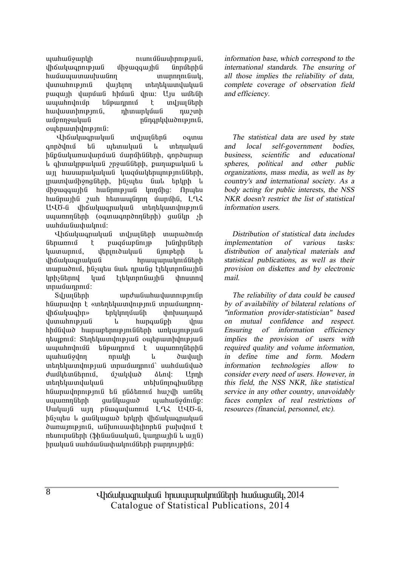$u$ u $u$ h $u$ ն $\delta$  $u$ n $b$  $h$   $\alpha$   $\beta$   $\alpha$   $\beta$ վիճակագրության միջազգային նորմերին hամապատասխանող **i** munnnnu dumuhnipinia dujan inantaumdudua pwqwih ywnuu hhuu ynw: Uju wutuh ապահովումը ենթադրում է տվյայների  $h$ w $\psi$ uuuun $h$ n $\psi$  m $\psi$  and  $\psi$  and  $\psi$  and  $\psi$  are  $\psi$ ³ÙµáÕç³Ï³Ý ÁÝ¹·ñÏí³ÍáõÃÛáõÝ, owhnwuhynipinia:

Վիճակագրական տվյալներն օգտա annðunu til mtimuluuli u intinuluuli hfinfiuiluunuuluunfuufi ifuunfhfifiknh onnouunuun L qhmulmpuluu mouluth, punupuluu L wi hwuwnwywywa ywquwythywnie miath, munduun hong Gtnh, husubu Gul thunh l ÙÇç³½·³ÛÇÝ ѳÝñáõÃÛ³Ý ÏáÕÙÇó: àñå»ë hանրային *շ*ահ hետապնդող մարմին, ԼՂՀ UՎԾ-ն վիճակագրական տեղեկատվություն uyunnnutinh (oqunuqnnonnutinh) quu il sh uuhuuuuhuuunui:

Lhawywqnwywa inyuyath mwnwdnin ներառում է բազմաբնույթ խնդիրների liuununniu iltininiduluu ümistinh l վիճակագրական hրապարակումների munuðniu, hliyutu liul nnuliq titunnnliuihli lınh *s*ütnnu luun tıtlunnun ilin hnumnu unuuunnuu:

Syluyütinh undu undu wunnyini ün hնարավոր է «տեղեկատվություն տրամադրողdh Guyuqhn» bnyynuan inhuununa dunun in pungu is dun hungu in digunak biyang kalendar digunak digunak digunak digunak digunak digunak digunak<br>Jamai digunak digunak digunak digunak digunak digunak digunak digunak digunak digunak digunak digunak digunak hhu Gujuð hunuptinni pindutinh unluu ini pindu nbupnui: Stinthuundnipjui outhuunhdnipjui ³å³ÑáíáõÙÝ »Ýó¹ñáõÙ ¿ ëå³éáÕÝ»ñÇÝ uzuhuu Golnn nuulah u duuluun intintuundup juli innusunninsa uuhuululud dwuuthuu Galuud alnu: Unnh una in mangalakan karatatan di sebagai sebagai sebagai sebagai sebagai sebagai sebagai sebagai sebagai sebagai hնարավորություն են ընձեռում հաշվի առնել uyunnnuthh quu Gyuquo yunhuliyunufip: Uwywia win pawawywnni LLL UU6-a, ինչպես և ցանկացած երկրի վիճակագրական ծառայություն, անխուսափելիորեն բախվում է  $n$ եսուրսների (ֆինանսական, կադրային և այլն) hnwywG uwhմwGwyhwyntGGtnh pwnnntphG:

*information base, which correspond to the international standards. The ensuring of all those implies the reliability of data, complete coverage of observation field and efficiency.* 

*The statistical data are used by state and local self-government bodies, business, scientific and educational spheres, political and other public organizations, mass media, as well as by country's and international society. As <sup>a</sup> body acting for public interests, the NSS NKR doesn't restrict the list of statistical information users.* 

*Distribution of statistical data includes implementation of various tasks: distribution of analytical materials and statistical publications, as well as their provision on diskettes and by electronic mail.* 

*The reliability of data could be caused by of availability of bilateral relations of "information provider-statistician" based on mutual confidence and respect. Ensuring of information efficiency implies the provision of users with required quality and volume information, in define time and form. Modern information technologies allow to consider every need of users. However, in this field, the NSS NKR, like statistical service in any other country, unavoidably faces complex of real restrictions of resources (financial, personnel, etc).* 

Uhauluuqnuluua hnuuuunulmuath huuuqualy, 2014 Catalogue of Statistical Publications, 2014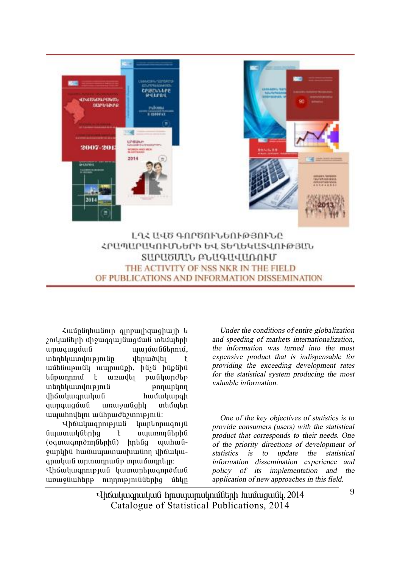

ԼՂՀ ԱՎԾ ԳՈՐԾՈՒՆԵՈՒԹՅՈՒՆԸ ՀԲԱՊԱԲԱԿՈՒՄՆԵՐԻ ԵՎ ՏԵՂԵԿԱՏՎՈՒԹՅԱՆ ՏԱԲԱԾՄԱՆ ԲՆԱԳԱՎԱՌՈՒՄ THE ACTIVITY OF NSS NKR IN THE FIELD OF PUBLICATIONS AND INFORMATION DISSEMINATION

Համընդիանուր գյոբայիցացիայի և  $2$ ուկաների միջազգայնազման տեմպերի wnwqwquua waa waanii waa waa ku mid waa ku mid waa ku mid waa ku mid waxa waxa waxa waxa waxa waa ku mid waxa <br>Afrika waxa waa ku mid waa ku mid waa ku mid waa ku mid waa ku mid waa ku mid waa ku mid waa ku mid waa ku mid unantu ining indina ilmunista ilmunista kuning ka wutuwewu wunuutph, huju hupuhu túpwnnnu է wnwyty pw iywndtp unan barakilan karatanan di sebanjara di sebanjara di persebutan karakilan di sebanjarah sebanjara di sebanjar<br>Ini dikenali di sebanjarah sebanjar di sebanjar di sebanjar di sebanjar di sebanjar di sebanjar di sebanjar di վիճակագրական hամակարգի qunququuli unuquulqhy intiquti www.hndunuwahhudhampin.

Վիճակագրության կարևորագույն նպատակներից է սպառողներին (oaunwanndnnuttnhut) hntuig www. ywpyha hwuwwwwwwwwm yhawywqnuyud unnunnudp innunnuntin:

**Uhawuyannupiwa** luwumuntiwannduwa unuy Guhtin p ninnin pin Gutin utin

*Under the conditions of entire globalization and speeding of markets internationalization, the information was turned into the most expensive product that is indispensable for providing the exceeding development rates for the statistical system producing the most valuable information.* 

*One of the key objectives of statistics is to provide consumers (users) with the statistical product that corresponds to their needs. One of the priority directions of development of statistics is to update the statistical information dissemination experience and policy of its implementation and the application of new approaches in this field.* 

Uhauluuqnuluua hnuuuunulmuath huuuqualy, 2014 Catalogue of Statistical Publications, 2014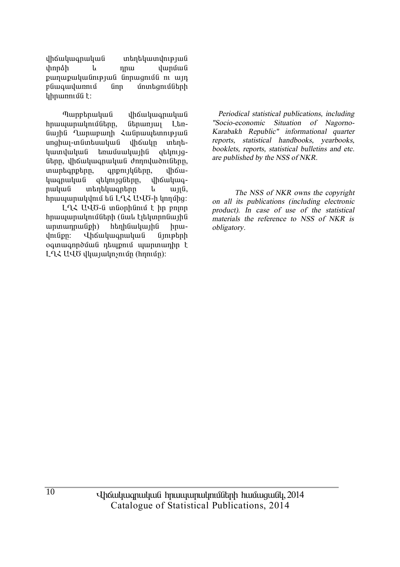վիճակագրական տեղեկատվության *dhnnáh* dunuu nnu թաղաթականության նորացումն ու այդ բնագավառում **Gnn** մոտեզումների uhnunnung t:

Պարբերական *dh* Gwluan wlu G **h**pwww.pwynutherp. *Chpwnywy*  $L<sub>tn</sub>$ նային Ղարաբաղի Հանրապետության սոցիալ-տնտեսական վիճակը տեղեկատվական եռամսակային ghynigները, վիճակագրական ժողովածուները, muntanptnn, anpnı ılı Gunn, uhowկագրական gtynyggtnn, dhawywanuuluufi wantuwantnn  $\mathbf{u}$  $u<sub>H</sub>$  $h$ nuuuunuuuunuu tu LA $\zeta$  UU $\delta$ -h unnung

LQ2 UQ6-ն տնօրինում է իր բոլոր hnwwwnwynigath (Gwy Eithynnawiha)  $unununnu$ (iph) hnudniupn: *<u>Uhauluuanuluuli</u>*  $ûn$ օգտագործման դեպքում պարտադիր է LL UUO dhu judnsniun (hnniun):

Periodical statistical publications, including "Socio-economic Situation of Nagorno-Karabakh Republic" informational quarter reports, statistical handbooks, yearbooks, booklets, reports, statistical bulletins and etc. are published by the NSS of NKR.

The NSS of NKR owns the convright on all its publications (including electronic product). In case of use of the statistical materials the reference to NSS of NKR is obligatory.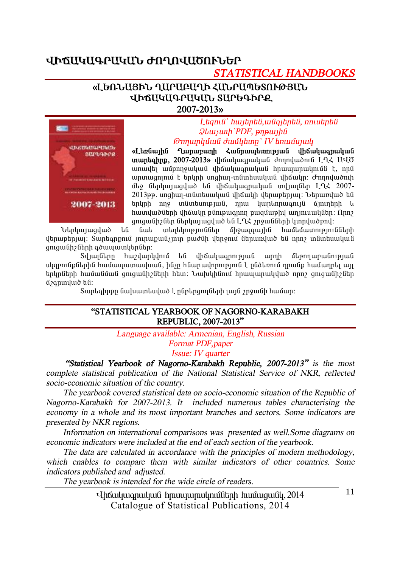### **ՎԻՃԱԿԱԳՐԱԿԱՆ ԺՈՂՈՎԱԾՈՒՆԵՐ**

# *STATISTICAL HANDBOOKS*

#### «ԼԵՌՆԱՅԻՆ ՂԱՐԱԲԱՂԻ ՀԱՆՐԱՊԵՏՈՒԹՅԱՆ *<u>UÞAUYUQPUYUG SUPGQPPQ</u>* **2007-2013¦**



 $L$ *bqntu<sup>\*</sup> hwybpbu, wyajbpbu, nntubpbu*  $Q$ *lauswh* PDF, *pnpwtha ÂáÕ³ñÏÙ³Ý Å³ÙÏ»ïÁ` IV »é³ÙëÛ³Ï* 

<u>«Languutha Quinunuunh Zugnuuuannustung ihouluuanuuluug</u> **inumbahnp, 2007-2013**» iho wunder wunder den nulmon a LLK UUG unuulti ta bahayudungiya dhanangan kalaharan karamati tanggalan dan sang ununuanınığ t Enlinh unahui-indintuiuluud ilhoiulin: Ժողովածուի մեջ ներկայացված են վիճակագրական տվյայներ ԼՂՀ 2007- $2013$ թթ. unghuy-inնintuiuluun ilhauuh iltnuiptinuu: Utnuinluid til  $t$ երկրի ողջ տնտեսության, որա կարևորագույն ճյուղերի և  $h$ ատվածների վիճակը բնութագրող բազմաթիվ աղյուսակներ։ Որո $\eta$ 

ցուցանիշներ ներկայացված են ԼՂՀ շրջանների կտրվածքով։<br>^ նաև ` տեղեկություններ ` միջացգային` hամեմատությու Utahuu uuquud tu üwh intahun mulitan ühowgawahu huuttuunnipantitaha վերաբերյալ։ Տարեգրքում յուրաքանչյուր բաժնի վերջում ներառված են որոշ տնտեսական gnigwühzütinh qowwww.htmi

Syluyütinn huyyunlyinu tu yhouyuqning uu unnh utpinnupuunnpuu uligeni նթներին համապատասխան, ինչը հնարավորություն է ընձեռում դրանթ համադրել այլ  $\bm{t}$ ոկոների իամանման զուզանիշների իետ։ Նախկինում իրապարակված որըշ զուզանիշներ  $6$ <sup>2</sup>anınıl wo bû:

Swntahnpn նախատեսված է ընթերցողների լայն շրջանի համար:

#### **"STATISTICAL YEARBOOK OF NAGORNO-KARABAKH REPUBLIC, 2007-2013"**

*Language available: Armenian, English, Russian* 

*Format PDF,paper* 

*Issue: IV quarter* 

 *"Statistical Yearbook of Nagorno-Karabakh Republic, 2007-2013" is the most complete statistical publication of the National Statistical Service of NKR, reflected socio-economic situation of the country.* 

*The yearbook covered statistical data on socio-economic situation of the Republic of Nagorno-Karabakh for 2007-2013. It included numerous tables characterising the economy in <sup>a</sup> whole and its most important branches and sectors. Some indicators are presented by NKR regions.* 

*Information on international comparisons was presented as well.Some diagrams on economic indicators were included at the end of each section of the yearbook.* 

*The data are calculated in accordance with the principles of modern methodology, which enables to compare them with similar indicators of other countries. Some indicators published and adjusted.* 

*The yearbook is intended for the wide circle of readers.* 

Uhauluuanuluua hnuuuunulmuath huuuquall, 2014 Catalogue of Statistical Publications, 2014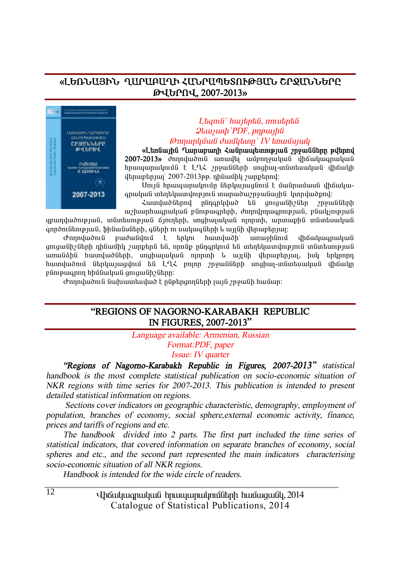#### <u>«ԼԵՌՆԱՅԻՆ ՂԱՐԱԲԱՂԻ ՀԱՆՐԱՊԵՏՈՒԹՅԱՆ ՇՐՋԱՆՆԵՐԸ</u> **Âìºðàì, 2007-2013¦**



#### $L$ *bqnı* $G$ *` hwibnbû*, *nniubnbû*  $Q$ *lauswh* `PDF, pnpwtha *ÂáÕ³ñÏÙ³Ý Å³ÙÏ»ïÁ` IV »é³ÙëÛ³Ï*

«Լեռնային Ղարաբաղի Հանրապետության շրջանները թվերով 2007-2013» *dnnnywond wnwyth winnnywywy i hawwang 12* hnwwwnwynuut t LLK 2nowuutuh unghw-mumbuwywu yhowyh  $\mu$ երաբեր $\mu$ ) 2007-2013թթ. դինամիկ  $\mu$ արքերով:

Unija hnuujunuulniun atnluujuganiu t uuanuuaua ihauluuqnwywG whphywwynthi www.womania yowaya yang di

ZwunywdGthny nGnanyywd ta qniqwGhzGth 2n9wGGthh w/ buunhuu q nuluu puntuu q nd nd ng haqang-nulu qabayan puntu gpwnվածnւթյան, տնտեսության ճյուղերի, սոցիալական ոյորտի, արտաքին տնտեսական annðní Ghnipjuí, \$hGwGuGhh, aghph ní uwywa Ghnh u wijgh yhnwebniwi:

Ժողովածուն բաժանվում է երկու հատվածի՝ առաջինում վիճակագրական ցուցանիշների դինամիկ շարքերն են, որոնք ընդգրկում են տեղեկատվություն տնտեսության umufiáhfi huunduvõfitah, unghunudnufi ninninh L jujifih dtmurtanuu, hub talinnan hատվածում ներկայացվում են LQ2 բոլոր շրջանների սոցիալ-տնտեսական վիճակը pünipwannn hhu Gwylia gnigwühzütinn:

 $\sigma$ nnnluðni Guhunnanduð t nuphnann Gah jují 2nough hunum:

#### **"REGIONS OF NAGORNO-KARABAKH REPUBLIC IN FIGURES, 2007-2013"**

*Language available: Armenian, Russian* 

*Format:PDF, paper* 

*Issue: IV quarter* 

*"Regions of Nagorno-Karabakh Republic in Figures, 2007-2013" statistical handbook is the most complete statistical publication on socio-economic situation of NKR regions with time series for 2007-2013. This publication is intended to present detailed statistical information on regions.* 

*Sections cover indicators on geographic characteristic, demography, employment of population, branches of economy, social sphere,external economic activity, finance, prices and tariffs of regions and etc.* 

*The handbook divided into 2 parts. The first part included the time series of statistical indicators, that covered information on separate branches of economy, social spheres and etc., and the second part represented the main indicators characterising socio-economic situation of all NKR regions.* 

*Handbook is intended for the wide circle of readers.* 

Uhauluuqnuluua hnuuuunulmuath huuuqualy, 2014 Catalogue of Statistical Publications, 2014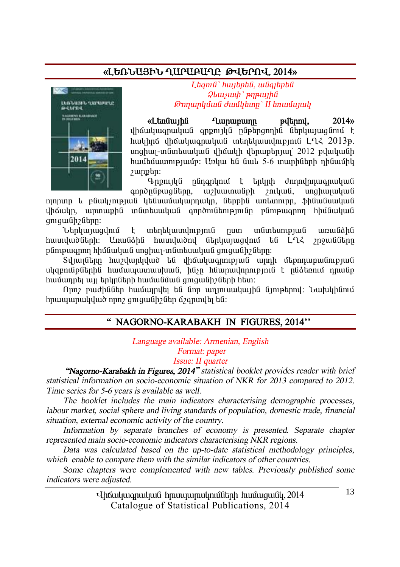#### «ԼԵՌՆԱՅԻՆ ՂԱՐԱԲԱՂԸ ԹՎԵՐՈՎ. 2014»



 $L$ *banıli` hunbnbli, wliatbnbli*  $\mathcal{Q}$ *lauswh* ` pnpwiha *ÂáÕ³ñÏÙ³Ý Å³ÙÏ»ïÁ` II »é³ÙëÛ³Ï* 

«Ltndiwihli Lununpunn piltnnil, 2014» վիճակագրական գրքույկն ընթերգողին ներկայացնում է hակիրճ վիճակագրական տեղեկատվություն ԼՂՀ 2013թ. unghuy-in Gintuwy (ung yhówyh ythniephyw) 2012 թվականի hwuttuwnny puun: Unluu tu Guul 5-6 munhutnh nhuwuhl zunphn:

 $Q$ <sub>npny</sub> ig nung hang temun dan dan kampatan dan seba annðnú puglitnn, un hunnuli bhandulu mahunulung

nınnun և բնակչության կենսամակարդակը, ներթին առևտուրը, ֆինանսական վիճակը, արտաքին տնտեսական գործունեությունը բնութագրող հիմնական antawüh <sup>2</sup>Ghnn:

Ներկայացվում է տեղեկատվություն ըստ տնտեսության առանձին <u>hատվա</u>ծների։ Առանձին հատվածով ներկայազվում են ԼՂՀ շրջանները pünipwannn hhմնական unghwi-inնintuuluul gnigwühzütinn:

Sul iul Gama bang bağlanda bağlan di dhan birinin birinin bağlandan birinin birinin birinin birinin b ulyqpnıliplikphli hwutuwywwwyhwli, hlisp hliwpwyhpnnpynili է pliotannu npwlip hամադրել այլ երկըների hամանման գուցանիշների hետ։

Nnn բաժիններ համայրվել են նոր աղյուսակային նյութերով։ Նախկինում hnwww.mululwo nnn qniqwüh han ananulti tu:

### **" NAGORNO-KARABAKH IN FIGURES, 2014''**

*Language available: Armenian, English Format: paper* 

*Issue: II quarter* 

 *"Nagorno-Karabakh in Figures, 2014" statistical booklet provides reader with brief statistical information on socio-economic situation of NKR for 2013 compared to 2012. Time series for 5-6 years is available as well.* 

*The booklet includes the main indicators characterising demographic processes, labour market, social sphere and living standards of population, domestic trade, financial situation, external economic activity of the country.* 

*Information by separate branches of economy is presented. Separate chapter represented main socio-economic indicators characterising NKR regions.* 

*Data was calculated based on the up-to-date statistical methodology principles, which enable to compare them with the similar indicators of other countries.* 

*Some chapters were complemented with new tables. Previously published some indicators were adjusted.* 

> Uhauyuuqnuyuu hnuuyunuynuyotah huuwuquo 2014 Catalogue of Statistical Publications, 2014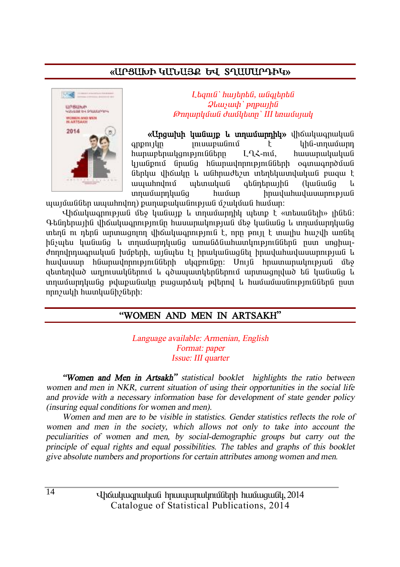### «UPSUI LAULARE GU SAUUUPPHU»



I banıli` hunbnbli, wliotbnbli  $\mathcal{Q}$ *lausuah* ` pnp $\mu$ Թողարկման ժամկետը` III եռամսյակ

«Unguruh hulung L ungurunghy» վիճակագրական  $\frac{1}{2}$ uhu-unuuunn anpnılln  $\mathsf{F}$ hunuptnuyqnıpını Gütin  $I \Omega$  -mul. hwuwnwywywG կյանքում նրանց հնարավորությունների օգտագործման ներկա վիճակը և անհրաժեշտ տեղեկատվական բազա է *wwwhndnu* աետական atintnunha (luuliwlia  $\mathbf{1}_{1}$ unuuunnuuuiq huuun hnwywhwywwwnntplwG

պայմաններ ապահովող) քաղաքականության մշակման համար։

Վիճակագրության մեջ կանայթ և տղամարդիկ պետք է «տեսանելի» լինեն։ Գենդերային վիճակագրությունը իասարակության մեջ կանանց և տրամարդկանց տերն ու ռեոն արտացոյող վիճակացողւթյուն է, որը թույլ է տայիս իաշվի առնել ինչպես կանանց և տղամարդկանց առանձնահատկություններն ըստ սոցիալժողովրդագրական խմբերի, այնպես էլ իրականացնել իրավահավասարության և հավասար հնարավորությունների սկզբունքը։ Մույն հրատարակության մեջ ցետեղված աղյուսակներում և գծապատկերներում արտացոլված են կանանց և տղամարդկանց թվաքանակը բացարձակ թվերով և համամասնություններն ըստ որոշակի hատկանիշների:

#### "WOMEN AND MEN IN ARTSAKH"

Language available: Armenian, English Format: paper Issue: III quarter

"Women and Men in Artsakh" statistical booklet highlights the ratio between women and men in NKR, current situation of using their opportunities in the social life and provide with a necessary information base for development of state gender policy *(insuring equal conditions for women and men).* 

Women and men are to be visible in statistics. Gender statistics reflects the role of women and men in the society, which allows not only to take into account the peculiarities of women and men, by social-demographic groups but carry out the principle of equal rights and equal possibilities. The tables and graphs of this booklet give absolute numbers and proportions for certain attributes among women and men.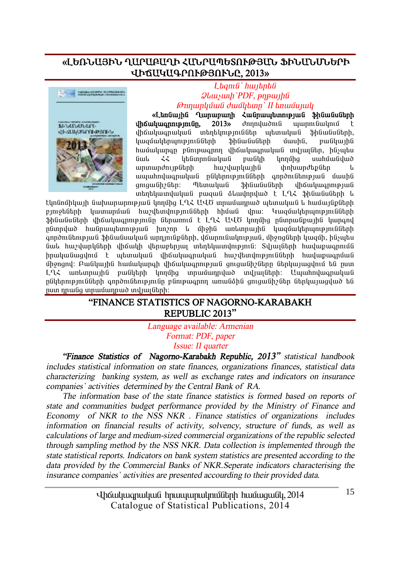#### **§ÈºèÜ²ÚÆÜ Ô²ð²´²ÔÆ вÜð²äºîàôÂÚ²Ü üÆÜ²ÜêܺðÆ**  *<u>UÞAUYUԳՐՈՒԹՅՈՒՆԸ, 2013»</u>*



#### L**bamû`** hwibnbû  $\mathcal{Q}$ *luusuuh* `PDF, pnpwyhû *ÂáÕ³ñÏÙ³Ý Å³ÙÏ»ïÁ` II »é³ÙëÛ³Ï*

«Langwiha Quinununh Zugnumbunnipjug Shawagugh **iho uluu anni bini an** 2013<sup>,</sup> dhnnyu dni uwani awang t iha ilung ya bahalinin daha daha ya baya da daharah. bwaywbhnunu bulishh bhawaibh huungi, pulituha hwûwywnan plintpwannn yhówywanwywli mytwflith, hlisytu Giul 22 litanna Giuliu bu din tinning uwhuu Giliud ununundnuplichh huidunluuthli hhhuundtplitin l ապահովագրական ընկերությունների գործունեության մասին<br>զուզանիշներ։ Պետական Ֆինանսների վիճակագրության Thtmuluu Shliwliulith yhowluunnipjuli unantu undu buli nungu i dundanduð t Ln2 bhuu uu bahan u

 $t$ կոնոմիկայի նախարարության կողմից  $I \Omega \xi$  UU $\delta$  տրամարոած աետական և իամայնքների pinotütnh yww.wholów hweltwynienia hhuwa Jhru: Ywquytuhunipinuatuh \$hնանսների վիճակագրությունը ներառում է L-L-2 U-UԾ կողմից ընտրանթային կարգով nGunndwð hwGnwwbunnuðu hunann k uhohG wirkinnwihG bwaywbirkinn anndnu Ghnip jiu G Shüw Guyuy Guynjin Girdhi, yawni giyin yaya giyin giyin huygih, hüşiyati նաև hաշվարկների վիճակի վերաբերյալ տեղեկատվություն։ Տվյայների hավաթագրումն  $h$ ուսկանացվում է աետական վիճակագոական իաշվետվությունների իավաթագոման միջոցով։ Բանկային համակարգի վիճակագրության ցուցանիշները ներկայացվում են ըստ LՂՀ առևտրային բանկերի կողմից տրամադրված տվյալների։ Ապահովագրական nGhanne mu Gaah ann on Gane mu Gane wann un an Gane an Gane Gane wad wat as ըստ դրանց տրամադրած տվյալների։

#### **"FINANCE STATISTICS OF NAGORNO-KARABAKH REPUBLIC 2013"**

*Language available: Armenian Format: PDF, paper Issue: II quarter* 

*"Finance Statistics of Nagorno-Karabakh Republic, 2013" statistical handbook includes statistical information on state finances, organizations finances, statistical data characterizing banking system, as well as exchange rates and indicators on insurance companies` activities determined by the Central Bank of RA.* 

*The information base of the state finance statistics is formed based on reports of state and communities budget performance provided by the Ministry of Finance and Economy of NKR to the NSS NKR . Finance statistics of organizations includes information on financial results of activity, solvency, structure of funds, as well as calculations of large and medium-sized commercial organizations of the republic selected through sampling method by the NSS NKR. Data collection is implemented through the state statistical reports. Indicators on bank system statistics are presented according to the data provided by the Commercial Banks of NKR.Seperate indicators characterising the insurance companies` activities are presented accourding to their provided data.*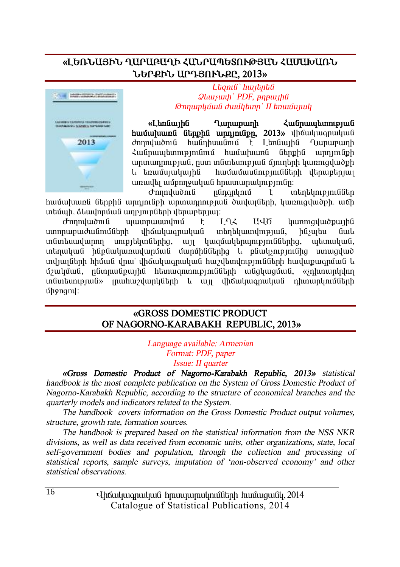#### **§ÈºèÜ²ÚÆÜ Ô²ð²´²ÔÆ вÜð²äºîàôÂÚ²Ü Ð²Ø²Ê²èÜ ܺðøÆÜ ²ð¸ÚàôÜøÀ, 2013¦**



 $L$ *<i>anı a*<sup>'</sup> *hwibna i*  $Q$ *lauswh* PDF, pnpwtha *ÂáÕ³ñÏÙ³Ý Å³ÙÏ»ïÁ` II »é³ÙëÛ³Ï* 

«Languing Quinunguinh **Languing Anglicuing Anglicuing Containe huutuluund Gtmphu unningpn** 2013» uhouluuqnuluu dnnnywoni hwanhuwani է Ltnawiha Ղարաբաղի Հանրապետությունում համախառն ներքին արդյունքի unnunnnnpjul, nun mlintunipjuli ájnintnh yunnigyuð ph ՝ • եռամսյակային և համամասնությունների վերաբերյալ առավել ամբողջական հրատարակությունը։

 $\sigma$ nnnuluu $\delta$ níi $\sigma$  infinantinu $\delta$  infinantinum también <u>hամախառն ներքին արդյունքի արտադրության ծավայների, կառուզվածքի, աճի</u> unturan. Suwunnung warennaar hangaran ang internasional ang diseb

d mnuluonlu uluunnuuundnu t LLL UUO luunniquuopuiha uտորաբաժանումների վիճակագրական տեղեկատվության, ինչպես նաև  $i$ մմտեսավարող սուբյեկտներից, այլ կազմակերպություններից, պետական, տեղական ինքնակառավարման մարմիններից և բնակչությունից ստացված տվյալների հիման վրա՝ վիճակագրական հաշվետվությունների հավաքագրման և u32uuunii numaa badaa oo kunaanii haanaa badaa dadaa qaaraanii dadaa ay ah un Guntum piudi» inwhur dun die handen bir ülken bir dine kun dine naman dine ölen bir úh9nqny:

#### **§GROSS DOMESTIC PRODUCT OF NAGORNO-KARABAKH REPUBLIC, 2013**<sup>*w*</sup>

*Language available: Armenian Format: PDF, paper Issue: II quarter* 

*§Gross Domestic Product of Nagorno-Karabakh Republic, 2013¦ statistical handbook is the most complete publication on the System of Gross Domestic Product of Nagorno-Karabakh Republic, according to the structure of economical branches and the quarterly models and indicators related to the System.* 

*The handbook covers information on the Gross Domestic Product output volumes, structure, growth rate, formation sources.* 

*The handbook is prepared based on the statistical information from the NSS NKR divisions, as well as data received from economic units, other organizations, state, local self-government bodies and population, through the collection and processing of statistical reports, sample surveys, imputation of 'non-observed economy' and other statistical observations.* 

> Uhauyuuqnuyuu hnuuyunuynuyotah huuwuquo 2014 Catalogue of Statistical Publications, 2014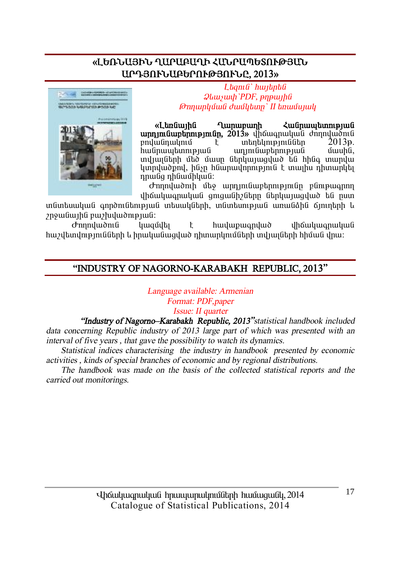### «ԼԵՌՆԱՅԻՆ ՂԱՐԱԲԱՂԻ ՀՄՆՐԱՊԵՏՈՒԹՅՄՆ **²ð¸Úàôܲ´ºðàôÂÚàôÜÀ, 2013¦**



 $L$ *<i>tamû` hwitptû*  $Q$ *lauswh* PDF, pnpwtha *ÂáÕ³ñÏÙ³Ý Å³ÙÏ»ïÁ` II »é³ÙëÛ³Ï* 

«Ltngwiha Qunununh Zwanuutunni bilah **unnmu Guntinni pjm Gn. 2013**» վիճագրական ժողովածուն<br>ասկանդակում է սիերեկություններ 2013թ. բովանդակում է տեղեկություններ<br>հանոապետության առյունաբերության unini Guurtinini piuli duu bituni baada uu bituni baada kuu bituni baada uu bituni baada uu bituni baada uu bi ïíÛ³ÉÝ»ñÇ Ù»Í Ù³ëÁ Ý»ñϳ۳óí³Í »Ý ÑÇÝ· ï³ñí³ lunnyunden, hûyn huunnuynnupinia tununun nhuunytu nnwag nhawuhywa:

 $\sigma$ nnnywònıh մեջ արդյունաբերությունը բնութագրող վիճակագրական ցուցանիշները ներկայացված են ըստ

ingun anið an að anda heimið að þegað að heimið að heimið anið ein að heimið heimið þ  $p$ 19 $q$ u (iui) $h$ i pu $p$ lu $q$ iu) $h$ in puoli:

 $\sigma$ nnnyluðni (í lugjulti í huyluplugnyluð yhóluylugnuylug <u>hաշվետվությունների և իրականազված դիտարկումների տվյայների հիման վրա։</u>

#### **"INDUSTRY OF NAGORNO-KARABAKH REPUBLIC, 2013"**

*Language available: Armenian Format: PDF,paper Issue: II quarter* 

*"Industry of Nagorno–Karabakh Republic, 2013"statistical handbook included data concerning Republic industry of 2013 large part of which was presented with an interval of five years , that gave the possibility to watch its dynamics.* 

 *Statistical indices characterising the industry in handbook presented by economic activities , kinds of special branches of economic and by regional distributions.* 

 *The handbook was made on the basis of the collected statistical reports and the carried out monitorings.*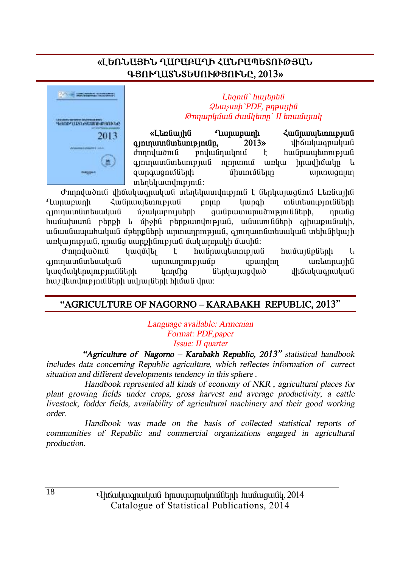### «ԼԵՌՆԱՅԻՆ ՂԱՐԱԲԱՂԻ ՀՄՆՐԱՊԵՏՈՒԹՅԱՆ **¶ÚàôÔ²îÜîºêàôÂÚàôÜÀ, 2013¦**



 $L$ *banıli* ' *hwibnbli*  $Q$ *lauswah PDF*, *pnpwtha ÂáÕ³ñÏÙ³Ý Å³ÙÏ»ïÁ` II »é³ÙëÛ³Ï* 

«Ltındiwiha Quinununh Zuidinum binin binin **·ÛáõÕ³ïÝï»ëáõÃÛáõÝÁ, 2013¦** íÇ׳ϳ·ñ³Ï³Ý dnnnyuddnu pnyulinuynu t hulinuwtunnupuuli ajninuun untunipju die ninnuniu untuu houdhoulin l ½³ñ·³óáõÙÝ»ñÇ ÙÇïáõÙÝ»ñÁ ³ñï³óáÉáÕ unundupinua:

 $\sigma$ nnnluonia ilhauluuonuluua intotuununimia tatoluunuaania Languiha  $Q$ արաբաղի Հանրապետության բոլոր կարգի տնտեսությունների aininiumana ua an an an an an ainmeadh ann an ainmeadh ann an ais an ais an ais an ais an ais an ais an ais an hամախառն բերթի և միջին բերթատվության, անասունների գլխաթանակի, անասնապահական մթերթների արտադրության, գյուղատնտեսական տեխնիկայի unyunpuu nipuu nga uunphimpuu մակարդակի մասին:

Ժողովածուն կազմվել է հանոաաետության համայնթների և qininuun undun kumaan biya biya anali yang ang anggrid ay na kumaan qarangan qarangan biyang ang karalang ang <u>կազմակերպությունների կողմից ներկայազված վիճակագրական</u>  $h$ աշվետվությունների տվյայների հիման վրա։

### **"AGRICULTURE OF NAGORNO – KARABAKH REPUBLIC, 2013"**

*Language available: Armenian Format: PDF,paper Issue: II quarter* 

 *"Agriculture of Nagorno – Karabakh Republic, 2013" statistical handbook includes data concerning Republic agriculture, which reflectes information of currect situation and different developments tendency in this sphere .* 

 *Handbook represented all kinds of economy of NKR , agricultural places for plant growing fields under crops, gross harvest and average productivity, <sup>a</sup> cattle livestock, fodder fields, availability of agricultural machinery and their good working order.* 

 *Handbook was made on the basis of collected statistical reports of communities of Republic and commercial organizations engaged in agricultural production.*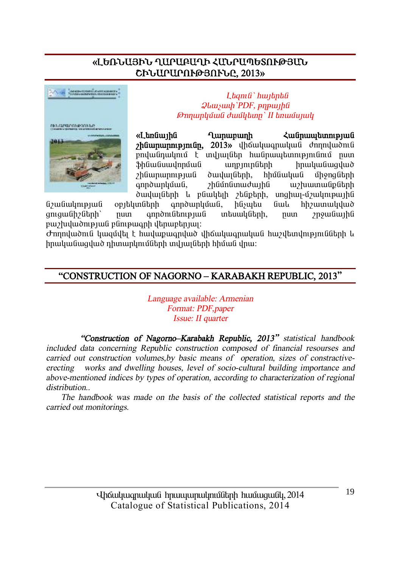#### «ԼԵՌՆԱՅԻՆ ՂԱՐԱԲԱՂԻ ՀՄՆՐԱՊԵՏՈՒԹՅՄՆ **CԻՆԱՐԱՐՈՒԹՅՈՒՆԸ, 2013»**



 $L$ *banı G`hwibnbû*  $Q$ *luuyuuh PDF*, *pnpwlla ÂáÕ³ñÏÙ³Ý Å³ÙÏ»ïÁ` II »é³ÙëÛ³Ï* 

«L<del>an</del>giunha Qunununh zugnunun ann b **hümmunnupiniun, 2013**» yhäytung hulud dunnutud pnվանդակում է տվյայներ հանրապետությունում ըստ we bhandan and a shall bhandan bhandaich bhandaich bhandaich bhandaich bhandaich bhandaich bhandaich bhandaich zhնարարության ծավայների, hիմնական միջոցների annð unluðul í hliðnlinnuð un hafðið anndundur annar annar þeim h

ծավալների և բնակելի շենքերի, սոցիալ-մշակութային<br>տների գործարկման, ինչպես նաև հիշատակված նշանակության օբյեկտների գործարկման, ինչպես նաև gnigwühzütinh` nun qnnðni ütinipjuli intiuuli ütinh, nun znowüwihli pwehyluð pað þá þeir þeir þeir þeir þeir eins

 $\sigma$ nnnվածուն կազմվել է hավաթագրված վիճակագրական hաշվետվությունների և  $h$ րականացված դիտարկումների տվյայների հիման վրա։

#### **"CONSTRUCTION OF NAGORNO – KARABAKH REPUBLIC, 2013"**

*Language available: Armenian Format: PDF,paper Issue: II quarter* 

*"Construction of Nagorno–Karabakh Republic, 2013" statistical handbook included data concerning Republic construction composed of financial resourses and carried out construction volumes,by basic means of operation, sizes of constractiveerecting works and dwelling houses, level of socio-cultural building importance and above-mentioned indices by types of operation, according to characterization of regional distribution..* 

 *The handbook was made on the basis of the collected statistical reports and the carried out monitorings.*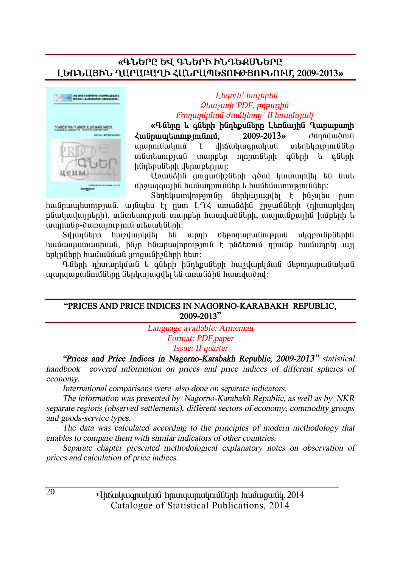#### **§¶ÜºðÀ ºì ¶ÜºðÆ ÆÜ¸ºøêܺðÀ ȺèÜ²ÚÆÜ Ô²ð²´²ÔÆ вÜð²äºîàôÂÚàôÜàôØ, 2009-2013¦**



#### $L$ *banı G`hwibnbû*  $Q$ *lauswh*'PDF, pnpwiha *ÂáÕ³ñÏÙ³Ý Å³ÙÏ»ïÁ` II »é³ÙëÛ³Ï*

**§¶Ý»ñÁ ¨ ·Ý»ñÇ ÇÝ¹»ùëÝ»ñÁ È»éݳÛÇÝ Ô³ñ³µ³ÕÇ**   $\lambda$ **uūnuutunnpiniūni,** 2009-2013<sup>\*</sup> dnnnuudniū www.munimuni k yhowyw.gnwyw.gn whistimpinu in funtumenufi inungta manungtan aftah L aftah hünbpuübnh dbnuupbnuu:

Unwüðhü gnigwühzütinh aðni ywinwinigh tú úwu միջազգային համադրումներ և համեմատություններ։

 $S$ եղեկատվությունը ներկայացվել է ինչպես ըստ <u>hանըսպետության, այնպես էլ ըստ ԼՂՀ առանձին շրջանների (դիտարկվող</u> բնակավայրերի), տնտեսության տարբեր հատվածների, ապրանթային խմբերի և uwnwնp-ծառայություն տեսակների:

 $S$ վյայները հաշվարկվել են արդի մեթոդաբանության սկզբունքներին <u>hամապատասխան, ինչը ինարավորություն է ընձեռում դրանք համադրել այլ</u> tınynütinh hwu wu du qonqwu helin htim:

Գների դիտարկման և գների ինդեթսների հաշվարկման մեթոդաբանական ujungwewüntüütne ütnyujugyti tü wnwüðhü hwnywðny:

#### **"PRICES AND PRICE INDICES IN NAGORNO-KARABAKH REPUBLIC, 2009-2013"**

*Language available: Armenian Format: PDF,paper Issue: II quarter* 

*"Prices and Price Indices in Nagorno-Karabakh Republic, 2009-2013" statistical handbook covered information on prices and price indices of different spheres of economy.* 

*International comparisons were also done on separate indicators.* 

*The information was presented by Nagorno-Karabakh Republic, as well as by NKR separate regions (observed settlements), different sectors of economy, commodity groups and goods-service types.* 

*The data was calculated according to the principles of modern methodology that enables to compare them with similar indicators of other countries.* 

*Separate chapter presented methodological explanatory notes on observation of prices and calculation of price indices.*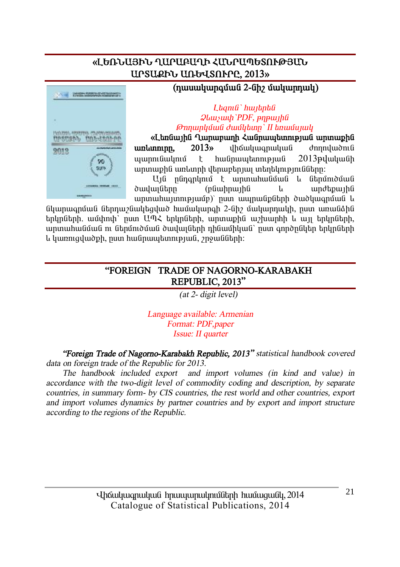### «ԼԵՌՆԱՅԻՆ ՂԱՐԱԲԱՂԻ ՀՄՆՐԱՊԵՏՈՒԹՅՄՆ **UPSURFG UNG 4SN PPP. 2013**



### ${\bf (numu}$

#### L*tamû`hwitptû*  $Q$ *luuywyh PDF*, *pnpwyhû ÂáÕ³ñÏÙ³Ý Å³ÙÏ»ïÁ` II »é³ÙëÛ³Ï*

«Ltnuunhu Ղարաբաղի Հանրապետության արտաքին **unlunninn, 2013**» վիճակագրական ժողովածուն ajann Gulnu é hu Gnuu kuni pu Gol 2013 pulu yugh արտաքին առևտրի վերաբերյալ տեղեկությունները։

U<sub>1</sub>0 nononunu t unununuou u otonunou  $\delta$ ավայները (բնաիրային և արժեթային  $u$ րտահայտությամբ)՝ ըստ ապրանքների ծածկագրման և

GyunwanywG GtnnwaGwytaylwd hwuwyah 2-Gh Guyunnwyh, nun wnwGahG tnynնtnh, ամփոփ՝ ըստ ԱՊՀ երկրների, արտաքին աշխարհի և այլ երկրների, unտաhանման ու նեոմուծման ծավայների ռինամիկան՝ ոստ գործոնկեր երկոների l ywnnigywoph, nun hw Gnwytanni pjw θ, γηφωθ (ith):

#### **"FOREIGN TRADE OF NAGORNO-KARABAKH REPUBLIC, 2013"**

*(at 2- digit level)* 

*Language available: Armenian Format: PDF,paper Issue: II quarter* 

*"Foreign Trade of Nagorno-Karabakh Republic, 2013" statistical handbook covered data on foreign trade of the Republic for 2013.* 

*The handbook included export and import volumes (in kind and value) in accordance with the two-digit level of commodity coding and description, by separate countries, in summary form- by CIS countries, the rest world and other countries, export and import volumes dynamics by partner countries and by export and import structure according to the regions of the Republic.*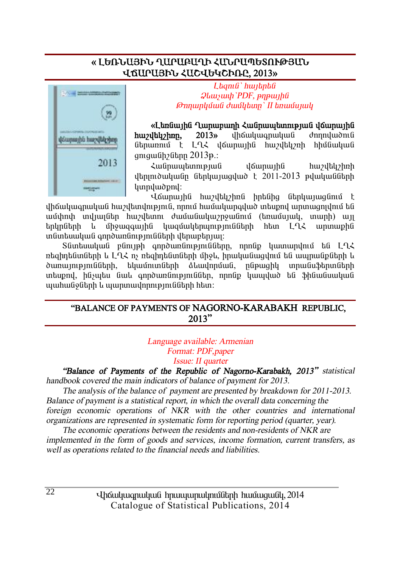#### **§ ȺèÜ²ÚÆÜ Ô²ð²´²ÔÆ вÜð²äºîàôÂÚ²Ü**  *<u>UKUPU3Pb ՀԱՇՎԵԿՇԻՌԲ. 2013»</u>*



L**baní** bunda  $Q$ *luusuuh PDF*, *pnpwih<sup><i>G*</sup></sup> *ÂáÕ³ñÏÙ³Ý Å³ÙÏ»ïÁ` II »é³ÙëÛ³Ï* 

**§È»éݳÛÇÝ Ô³ñ³µ³ÕÇ Ð³Ýñ³å»ïáõÃÛ³Ý í׳ñ³ÛÇÝ huzultuzhon.** 2013) uho uluqnulud donnuludonla übnunnu t LLK déununha hundbunh hhuauluu gnguuah bahan 2013<sup>B.:</sup>

Հանրապետության վճարային հաշվեկշիռի  $\mu$ երյուծականը ներկայացված է 2011-2013 թվականների lunnuluudpnul:

Վճարային հաշվեկշիռն իրենից ներկայացնում է վիճակագրական հաշվետվություն, որում համակարգված տեսքով արտագոյվում են ³Ù÷á÷ ïíÛ³ÉÝ»ñ ѳßí»ïáõ Å³Ù³Ý³Ï³ßñç³ÝáõÙ (»é³ÙëÛ³Ï, ï³ñÇ) ³ÛÉ tınlın ümkən bir ölkə başların birinin ili birinin başlarının birinin birinin birinin birinin birinin birinin ïÝï»ë³Ï³Ý ·áñͳéÝáõÃÛáõÝÝ»ñÇ í»ñ³µ»ñÛ³É:

Sնտեսական բնույթի գործառնությունները, որոնք կատարվում են ԼՂՀ ռեզիդենտների և Լ-ՂՀ ոչ ռեզիդենտների միջև, իրականազվում են ապրանքների և ծառայությունների, եկամուտների ձևավորման, ընթացիկ տրանսֆերտների տեսքով, ինչպես նաև գործառնություններ, որոնք կապված են ֆինանսական ujuhu Golitnh li ujunun ujn mejni Glitnh hitin:

#### **"BALANCE OF PAYMENTS OF NAGORNO-KARABAKH REPUBLIC, 2013"**

*Language available: Armenian Format: PDF,paper Issue: II quarter* 

*"Balance of Payments of the Republic of Nagorno-Karabakh, 2013" statistical handbook covered the main indicators of balance of payment for 2013.* 

*The analysis of the balance of payment are presented by breakdown for 2011-2013. Balance of payment is <sup>a</sup> statistical report, in which the overall data concerning the foreign economic operations of NKR with the other countries and international organizations are represented in systematic form for reporting period (quarter, year).* 

*The economic operations between the residents and non-residents of NKR are implemented in the form of goods and services, income formation, current transfers, as well as operations related to the financial needs and liabilities.*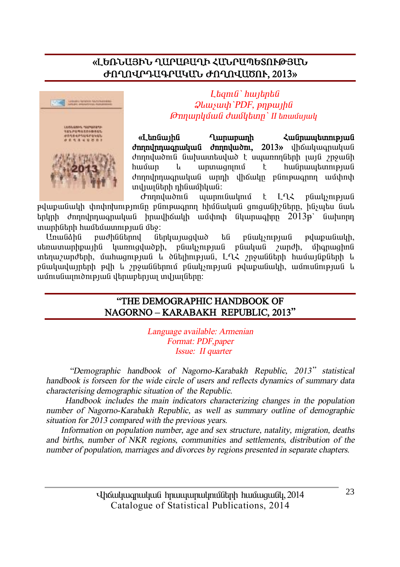### «ԼԵՌՆԱՅԻՆ ՂԱՐԱԲԱՂԻ ՀՄՆՐԱՊԵՏՈՒԹՅԱՆ **ÄàÔàì𸲶ð²Î²Ü ÄàÔàì²Ìàô, 2013¦**



 $L$ *banı G`hwibnbû*  $Q$ *lauswih* PDF, pnpwiha *ÂáÕ³ñÏÙ³Ý Å³ÙÏ»ïÁ` II »é³ÙëÛ³Ï*

«L<del>an</del>gunha Qunununh zugnumbunnung  $\delta$ **hnnunnunnundung** *d*nnnundun, 2013» վիճակագրական dnnndwðni Gulundunduð tununnn Gah nuju 2000 í hամար և արտացոյում է hանրապետության dnnnuhnwanwhwG wnnh dhốwlm pGnipwannn wunhnuh տվյայների դինամիկան:

 $\sigma$ mnuluuðni $\mathfrak{a}$  uiunni $\mathfrak{a}$ iúnlini $\mathfrak{a}$   $\mathfrak{f}$   $\mathfrak{a}$   $\mathfrak{f}$   $\mathfrak{a}$   $\mathfrak{a}$   $\mathfrak{b}$   $\mathfrak{a}$   $\mathfrak{b}$   $\mathfrak{a}$   $\mathfrak{b}$   $\mathfrak{a}$   $\mathfrak{b}$   $\mathfrak{a}$   $\mathfrak{b}$   $\mathfrak{b}$   $\mathfrak{b}$   $\mathfrak{$ թվաքանակի փոփոխությունը բնութագրող հիմնական գուգանիշները, ինչպես նաև  $t$ երկրի ժողովրդագրական իրավիճակի ամփոփ նկարագիրը 2013թ՝ նախորդ ininhutah huutumuninguu uto:

UnwGáhG pwdhGGtnny Gtnlywnwaywd ta pGwlynpywg pywgwy y utinyununhpunhû yunniqyuodh, püwysnipjuli püyyuyü zundh, ühqnuqhnü տեղաշարժերի, մահացության և ծնելիության, ԼՂՀ շրջանների համայնքների և pնակավայրերի թվի և շրջաններում բնակչության թվաթանակի, ամուսնության և wûntuGwintdnipiwG danwpanjwi mdjwiGann:

#### **"THE DEMOGRAPHIC HANDBOOK OF NAGORNO – KARABAKH REPUBLIC, 2013"**

*Language available: Armenian Format: PDF,paper*  *Issue: II quarter* 

 *"Demographic handbook of Nagorno-Karabakh Republic, <sup>2013</sup>" statistical handbook is forseen for the wide circle of users and reflects dynamics of summary data characterising demographic situation of the Republic.* 

 *Handbook includes the main indicators characterizing changes in the population number of Nagorno-Karabakh Republic, as well as summary outline of demographic situation for 2013 compared with the previous years.* 

 *Information on population number, age and sex structure, natality, migration, deaths and births, number of NKR regions, communities and settlements, distribution of the number of population, marriages and divorces by regions presented in separate chapters.*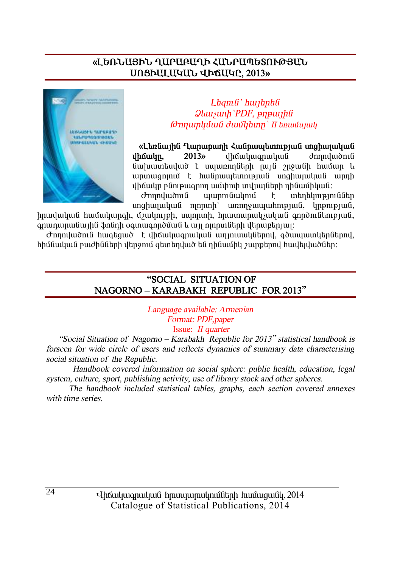#### «ԼԵՌՆԱՅԻՆ ՂԱՐԱԲԱՂԻ ՀՄՆՐԱՊԵՏՈՒԹՅՄՆ **êàòÆ²È²Î²Ü ìÆÖ²ÎÀ, 2013¦**



 $L$ *bamû` hwibnbû*  $Q$ *lauswh* `PDF, pnpwihû *ÂáÕ³ñÏÙ³Ý Å³ÙÏ»ïÁ` II »é³ÙëÛ³Ï*

«L<del>an</del>GuunhG ^ Qununnunh Հանոաաետության սոցիայական **ílhőwin.** 2013) ilhőwihan alatta donnuladna նախատեսված է սպառողների լայն շրջանի համար և unnungnnu է hwanungtunnipjua unghujuyua unnh ílhốwln բնութագրող ամփոփ տվյալների դինամիկան։<br>Ժողովածուն այարունակում է տեղեկությո

 $\sigma$ nnnduð ní ununni újulini í intintini einfiðitin  $unghu_l$ uluu $\hat{u}$  ninnuh unnnowww.hnipiw $\hat{u}$ ,  $l$ inpinpiw $\hat{u}$ ,

իրավական համակարգի, մշակույթի, սպորտի, հրատարակչական գործունեության, qnunununuu ih û \$nûnh oqunuqnndûw û li uji ninnun û tihuyetniyi:

 $\sigma$ ողովածուն հագեցած է վիճակագրական աղյուսակներով, գծապատկերներով, hիմնական բաժինների վերջում գետեղված են դինամիկ շարքերով հավելվածներ։

#### **"SOCIAL SITUATION OF NAGORNO – KARABAKH REPUBLIC FOR 2013"**

*Language available: Armenian Format: PDF,paper*  Issue: *II quarter* 

 *"Social Situation of Nagorno – Karabakh Republic for <sup>2013</sup>" statistical handbook is forseen for wide circle of users and reflects dynamics of summary data characterising social situation of the Republic.* 

 *Handbook covered information on social sphere: public health, education, legal system, culture, sport, publishing activity, use of library stock and other spheres.* 

 *The handbook included statistical tables, graphs, each section covered annexes with time series.*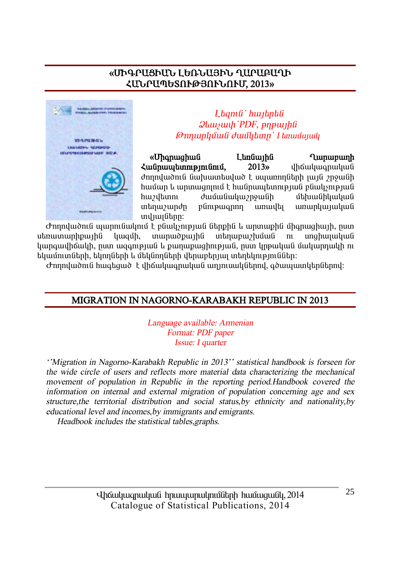#### «ՄԻԳՐԱՑԻԱՆ ԼԵՌՆԱՅԻՆ ՂԱՐԱԲԱՂԻ ՀԱՆՐԱՊԵՏՈՒԹՅՈՒՆՈՒՄ, 2013»



Lhanıli' hwihnhli  $Q$ *luusuuli* PDF,  $p$ n $p$ *u* $p$ *li* **Onnunluuli duulltunn** I tanuuluulu

«Uhanwahwû L bnau<sub>l</sub>ha **Lunununh**  $\zeta$ u Gnuu bunn pin Gnu վիճակագրական  $2013w$ dnnndwðni G Gulundan Gulund til Gulundan Gulund moll ofn an dinn dinn dinn dinn dinn greifin fra greifin fra g համար և արտացոյում է հանրապետության բնակչության huzultunn duuuuuunguuih մեհասնիկական տեղաշարժը  $p$ նութագրող առավել ununluuuluu տվյայները։

Ժողովածուն պարունակում է բնակչության ներթին և արտաթին միգրացիայի, ըստ  $u$ bn $u$ un $u$ nh $u$ unh $f$ munudpunha տեղաբաշխման կազմի,  $n<sub>1</sub>$ unahunulnufi կարգավիճակի, ըստ ազգության և քաղաքազիության, ըստ կրթական մակարդակի ու եկամուտների, եկողների և մեկնողների վերաբերյալ տեղեկություններ։

Ժողովածուն հագեցած է վիճակագրական աղյուսակներով, գծապատկերներով։

#### MIGRATION IN NAGORNO-KARABAKH REPUBLIC IN 2013

Language available: Armenian Format: PDF paper Issue: I quarter

"Migration in Nagorno-Karabakh Republic in 2013" statistical handbook is forseen for the wide circle of users and reflects more material data characterizing the mechanical movement of population in Republic in the reporting period.Handbook covered the information on internal and external migration of population concerning age and sex structure, the territorial distribution and social status, by ethnicity and nationality, by educational level and incomes by immigrants and emigrants.

Headbook includes the statistical tables graphs.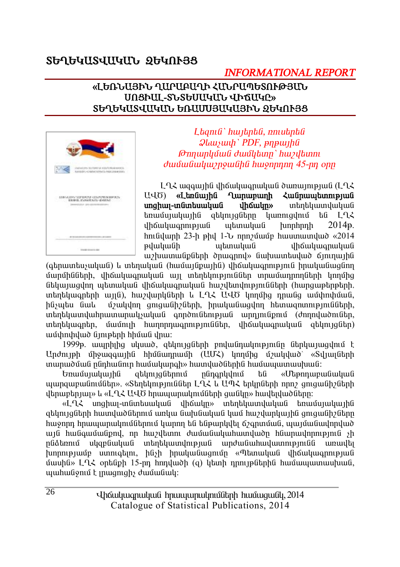# ՏԵՂԵԿԱՏՎԱԿԱՆ ՋԵԿՈՒՅՑ

### **INFORMATIONAL REPORT**

#### «ԼԵՌՆԱՅԻՆ ՂԱՐԱԲԱՂԻ ՀՄՆՐԱՊԵՏՈՒԹՅՄՆ UNSPUL-SLSGUUGULL UPQUGC» ՏԵՂԵԿԱՏՎԱԿԱՆ ԵՌԱՄՍՅԱԿԱՅԻՆ ՁԵԿՈՒՅՑ



Ltama' hwitpta, nniutpta  $Q$ *lausuah* PDF, pnp $U$ **Onnunlığuğ duğlıtını** huviltimi dunfurfurlurizmonifibli buronnum 45-nn onn

 $L$   $L$   $\lambda$  we apply the up to the up to the up to the up to the up to the up to the up to the U.A. U40) «Ltmuunhu Qunununh Zuunuuntunnunuu unghun-muntumuluug dhowutn» տեղեկատվական եռամսյակային ցեկույցները կառուցվում են  $192$ *dh*owywannipiwa wtmwy hunnhnnh  $2014<sub>B</sub>$ .  $h$ nı (ilunh 23-h phy 1- $h$  nnn  $\mu$  ilun hunun hundu  $\alpha$  2014 թվականի աետական **uh** Guu uu amu uu G աշխատանքների ծրագրով» նախատեսված ճյուղային

(գերատեսչական) և տեղական (համայնքային) վիճակագրություն իրականացնող մարմինների, վիճակագրական այլ տեղեկություններ տրամադրողների կողմից նեկայազվող պետական վիճակագրական հաշվետվությունների (հարցաթերթերի, տեղեկագրերի այլն), հաշվարկների և ԼՂՀ ԱՎԾ կողմից դրանց ամփոփման, մշակվող ցուցանիշների, իրականացվող հետացոտությունների, ինչպես նաև  $n$  un the distribution of the control of the control of the control of the unit of the unit of the unit of the unit of the unit of the unit of the unit of the unit of the unit of the unit of the unit of the unit of the u տեղեկագրեր, մամուլի հաղորդագրություններ, վիճակագրական ցեկույցներ) ամփոփված նյութերի հիման վրա։

1999թ. ապրիլից սկսած, ցեկույցների բովանդակությունը ներկայացվում է Undnyeh միջազգային հիմնադրամի (UUՀ) կողմից մշակված՝ «Տվյայների տարածման ընդհանուր համակարգի» հատվածներին համապատասխան:

ցեկույցներում րնդգրկվում են «Մեթոդաբանական այարցաբանումներ», «Տեղեկություններ ԼՂՀ և ԱՊՀ երկրների որոշ ցուցանիշների վերաբերյայ» և «Լ-ՂՀ ԱՎԾ հրապարակումների ցանկը» հավելվածները։

«L-L< unghwy-infuntuwyuf yhowyn» intintywinywyuf tinwufuyuyhfi ցեկույցների հատվածներում առկա նախնական կամ հաշվարկային ցուցանիշները հաջորդ հրապարակումներում կարող են ենթարկվել ճշգրտման, պայմանավորված այն հանգամանքով, որ հաշվետու ժամանակահատվածը հնարավորություն չի ընձեռում սկզբնական տեղեկատվության արժանահավատությունն առավել խորությամբ ստուգելու, ինչի իրականացումը «Պետական վիճակազոության մասին» ԼՂՀ օրենքի 15-րդ հոդվածի (q) կետի դրույթներին համապատասխան, պահանջում է լրացուցիչ ժամանակ։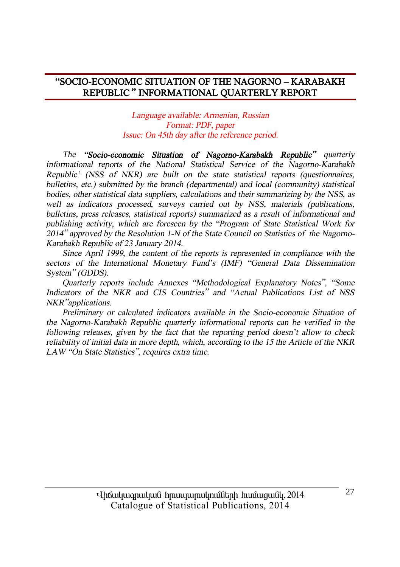#### **"SOCIO-ECONOMIC SITUATION OF THE NAGORNO – KARABAKH REPUBLIC " INFORMATIONAL QUARTERLY REPORT**

*Language available: Armenian, Russian Format: PDF, paper Issue: On 45th day after the reference period.* 

*The "Socio-economic Situation of Nagorno-Karabakh Republic" quarterly informational reports of the National Statistical Service of the Nagorno-Karabakh Republic' (NSS of NKR) are built on the state statistical reports (questionnaires, bulletins, etc.) submitted by the branch (departmental) and local (community) statistical bodies, other statistical data suppliers, calculations and their summarizing by the NSS, as well as indicators processed, surveys carried out by NSS, materials (publications, bulletins, press releases, statistical reports) summarized as <sup>a</sup> result of informational and publishing activity, which are foreseen by the "Program of State Statistical Work for <sup>2014</sup>" approved by the Resolution 1-N of the State Council on Statistics of the Nagorno-Karabakh Republic of 23 January 2014.* 

*Since April 1999, the content of the reports is represented in compliance with the sectors of the International Monetary Fund's (IMF) "General Data Dissemination System" (GDDS).* 

*Quarterly reports include Annexes "Methodological Explanatory Notes", "Some Indicators of the NKR and CIS Countries" and "Actual Publications List of NSS NKR"applications.* 

*Preliminary or calculated indicators available in the Socio-economic Situation of the Nagorno-Karabakh Republic quarterly informational reports can be verified in the following releases, given by the fact that the reporting period doesn't allow to check reliability of initial data in more depth, which, according to the 15 the Article of the NKR LAW "On State Statistics", requires extra time.*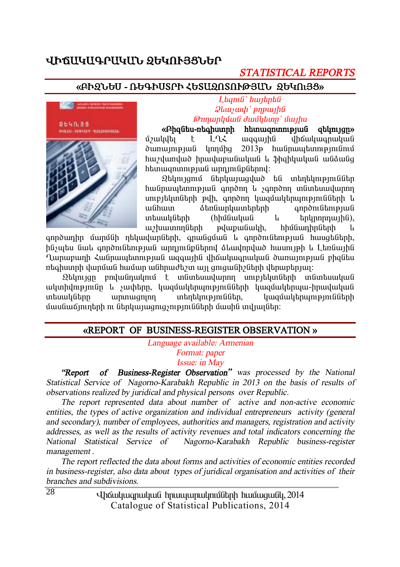### **ìÆÖ²Î²¶ð²Î²Ü ¼ºÎàôÚòܺð**

### *STATISTICAL REPORTS*

#### **§´Æ¼Üºê - 躶ÆêîðÆ Ðºî²¼àîàôÂÚ²Ü ¼ºÎàõÚò¦**



 $L$ *banıli` hwibnbli*  $\mathcal{Q}$ *lauswh* ` pnpwtha *ÂáÕ³ñÏÙ³Ý Å³ÙÏ»ïÁ` Ù³ÛÇë* 

**§´Ç½Ý»ë-é»·ÇëïñÇ Ñ»ï³½áïáõÃÛ³Ý ½»ÏáõÛóÁ¦** uzulultı k LQ3 mqquinli ilhümunmuluuli  $\delta$  unun puli  $\mu$ nnun  $2013p$  hulin pulin pulin linu <u>hաշվառված hnավաբանական և ֆիզիկական անձանց</u> htunuu qnunnu puu Gunnunu unnu uu bahaan di

 $2$ եկույցում ներկայացված են տեղեկություններ hw Gnua banna bandan kula sanadan sa Gunda wannan unipitunuttah puh, annonn uwauwuttanunipinuuttah u wնhwn åtnնwnywuntntnh anndni Gtnipiwa intuuuluun (hhuuuluun u tinlinninuihu), աշխատողների թվաքանակի, հիմնադիրների և

annðunhn մաnմնի ղեկավարների, anանցման և annðnւնեության hասցեների, ինչպես նաև գործունեության արդյունքներով ձևավորված հասույթի և Լեռնային Ղարաբաղի Հանրապետության ազգային վիճակագրական ծառայության բիզնես rtighuunnh ylunuul huuun wunnudtaan uy qniquilihaan ylthuuntinuur.

 $\Omega$ եկույզը բովանդակում է տնտեսավարող սուբյեկտների տնտեսական ulunhumpjnilin u suuhtinn, yuquulutinumpjnililitinh yuquulutinuju-hhuuluuluul untulu kümən iya iylə başların başlarından burundur. Turun başlardan başlardan başlardan başlardan b մասնաճյուղերի ու ներկայացուցչությունների մասին տվյայներ։

#### **§REPORT OF BUSINESS-REGISTER OBSERVATION ¦**

*Language available: Armenian Format: paper Issue: in May* 

 *"Report of Business-Register Observation" was processed by the National Statistical Service of Nagorno-Karabakh Republic in 2013 on the basis of results of observations realized by juridical and physical persons over Republic.* 

 *The report represented data about number of active and non-active economic entities, the types of active organization and individual entrepreneurs activity (general and secondary), number of employees, authorities and managers, registration and activity addresses, as well as the results of activity revenues and total indicators concerning the National Statistical Service of Nagorno-Karabakh Republic business-register management .* 

 *The report reflected the data about forms and activities of economic entities recorded in business-register, also data about types of juridical organisation and activities of their branches and subdivisions.* 

> Uhauyuuqnuyuu hnuuyunuynuyotah huuwuquo 2014 Catalogue of Statistical Publications, 2014

 $\overline{28}$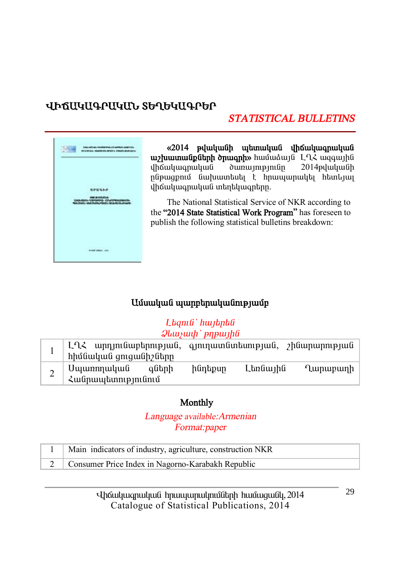# ՎԻճԱԿԱԳՐԱԿԱՆ ՏԵՂԵԿԱԳՐԵՐ

# **STATISTICAL BULLETINS**



«2014 թվականի պետական վիճակագրական uz huumu GpGtph onuqph» huutuduy G L-12 uqquyhti  $u$ hauluuanuluua  $\alpha$ 2014<sub>p</sub>duduuGh ընթացքում նախատեսել է հրապարակել հետևյալ վիճակագրական տեղեկագրերը.

The National Statistical Service of NKR according to the "2014 State Statistical Work Program" has foreseen to publish the following statistical bulletins breakdown:

### Ամսական պարբերականությամբ

#### Ltanı G'hujtpta  $\mathcal{Q}$ *lausuuh* ` pnp $\mu$ *ihû*

| ԼՂՀ արդյունաբերության, գյուղատնտեսության, շինարարության  <br>  հիմնական ցուցանիշները |       |         |          |                      |
|--------------------------------------------------------------------------------------|-------|---------|----------|----------------------|
| Սպառողական գնե<br>Հանրապետությունում                                                 | գների | ինդեքսը | Լեռնային | $^{\prime}$ Lunupunh |

#### Monthly

Language available: Armenian Format:paper

| Main indicators of industry, agriculture, construction NKR |
|------------------------------------------------------------|
| 2 Consumer Price Index in Nagorno-Karabakh Republic        |

Uhouyuuqnuyuu hnuuyunuynuyotanh huuuquugu, 2014 Catalogue of Statistical Publications, 2014

29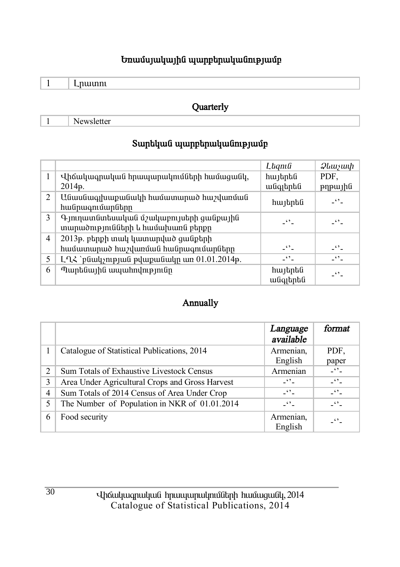### **Եռամսյակային պարբերականությամբ**

 **Quarterly** 

1 Newsletter

# $S$ արեկան պարբերականությամբ

|   |                                                                             | Lagnia               | <i><b>Qluusuuh</b></i> |
|---|-----------------------------------------------------------------------------|----------------------|------------------------|
|   | Վիճակագրական հրապարակումների համացանկ,<br>2014p.                            | հայերեն<br>անգլերեն  | PDF.<br>pypujhti       |
| 2 | Անասնագլխաքանակի համատարած հաշվառման<br>հանրագումարները                     | հայերեն              | -9-                    |
| 3 | Գյուղատնտեսական մշակաբույսերի ցանքային<br>տարածությունների և համախառն բերքը | $\cdot$ .            | -91                    |
| 4 | 2013թ. բերքի տակ կատարված ցանքերի                                           |                      |                        |
|   | համատարած հաշվառման հանրագումարները                                         | -''-                 | $ \cdot$ $\cdot$ $-$   |
| 5 | L-ՂՀ `բնակչության թվաքանակը առ 01.01.2014թ.                                 | $\ddot{\phantom{0}}$ | $\ddots$               |
| 6 | Պարենային ապահովությունը                                                    | հայերեն<br>անգլերեն  | -''-                   |

#### **Annually**

|   |                                                 | Language<br>available | format           |
|---|-------------------------------------------------|-----------------------|------------------|
|   | Catalogue of Statistical Publications, 2014     | Armenian,<br>English  | PDF.<br>paper    |
| 2 | Sum Totals of Exhaustive Livestock Census       | Armenian              | $ -$             |
| 3 | Area Under Agricultural Crops and Gross Harvest | $-10^{14}$            | $-$              |
| 4 | Sum Totals of 2014 Census of Area Under Crop    | $-$                   | $ -$             |
| 5 | The Number of Population in NKR of 01.01.2014   | $ -$                  | $ \bullet$ $-$   |
| 6 | Food security                                   | Armenian,<br>English  | $\ddot{\bullet}$ |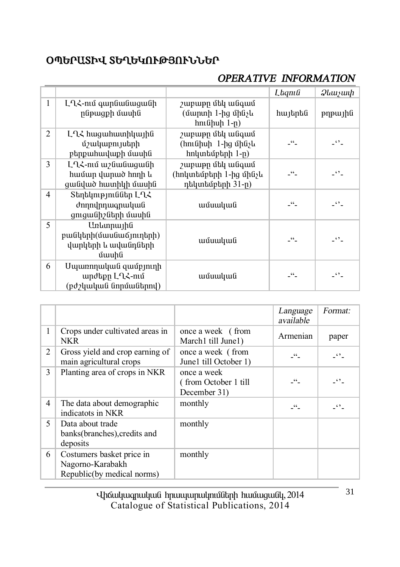# **úäºð²îÆì îºÔºÎàôÂÚàôÜܺð**

# *OPERATIVE INFORMATION*

|              |                                                                     |                                                                | Laqnıli            | <i>Qlauyuuh</i>      |
|--------------|---------------------------------------------------------------------|----------------------------------------------------------------|--------------------|----------------------|
| $\mathbf{1}$ | ԼՂՀ-ում գարնանացանի<br>րնթացքի մասին                                | շաբաթը մեկ անգամ<br>(մարտի 1-ից մինչև<br>hունիսի 1-ը)          | հայերեն            | pypujhli             |
| 2            | ԼՂՀ հացահատիկային<br>մշակաբույսերի<br>բերքահավաքի մասին             | շաբաթը մեկ անգամ<br>(հունիսի 1-ից մինչև<br>hnկտեմբերի 1-ը)     | - "-               | $\ddot{\phantom{0}}$ |
| 3            | ԼՂՀ-ում աշնանացանի<br>համար վարած հողի և<br>ցանված հատիկի մասին     | շաբաթը մեկ անգամ<br>(հոկտեմբերի 1-ից մինչև<br>դեկտեմբերի 31-ը) | - "-               | $\ddot{\phantom{0}}$ |
| 4            | Տեղեկություններ ԼՂՀ<br>ժողովրդագրական<br>ցուցանիշների մասին         | ամսական                                                        | - "-               | $\cdot$ .            |
| 5            | Առևտրային<br>բանկերի(մասնաճյուղերի)<br>վարկերի և ավանդների<br>մասին | ամսական                                                        | $\lceil 66 \rceil$ | $\cdot$ .            |
| 6            | Մպառողական զամբյուղի<br>արժեքը ԼՂՀ-ում<br>(բժշկական նորմաներով)     | ամսական                                                        | $-66$              | $\ddots$             |

|                |                                                                             |                                                      | Language<br>available | Format:      |
|----------------|-----------------------------------------------------------------------------|------------------------------------------------------|-----------------------|--------------|
| 1              | Crops under cultivated areas in<br>NKR                                      | once a week (from<br>March1 till June1)              | Armenian              | paper        |
| 2              | Gross yield and crop earning of<br>main agricultural crops                  | once a week (from<br>June1 till October 1)           | $-46$                 | $ \cdot$ $-$ |
| 3              | Planting area of crops in NKR                                               | once a week<br>(from October 1 till)<br>December 31) | $\mathcal{L}$         | - ' ' -      |
| $\overline{4}$ | The data about demographic<br>indicatots in NKR                             | monthly                                              | 66                    | - ' ' -      |
| 5              | Data about trade<br>banks(branches), credits and<br>deposits                | monthly                                              |                       |              |
| 6              | Costumers basket price in<br>Nagorno-Karabakh<br>Republic(by medical norms) | monthly                                              |                       |              |

**i** łaś alquaq alqua handa hanggan da hang taga da qaba da qaba da qaba da qaba da qaba da qaba da qaba da qaba Catalogue of Statistical Publications, 2014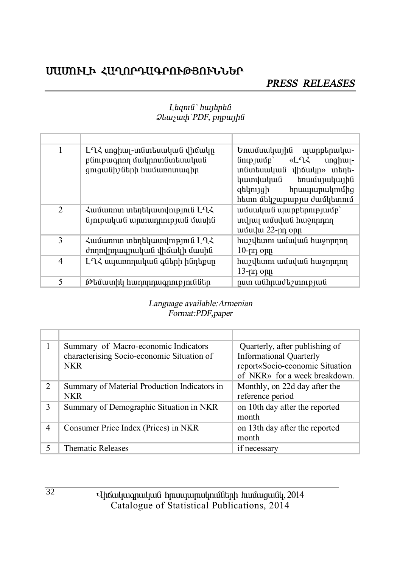# ՄԱՄՈՒԼԻ ՀԱՂՈՐԴԱԳՐՈՒԹՅՈՒՆՆԵՐ

#### PRESS RELEASES

| 1 | ԼՂՀ սոցիալ-տնտեսական վիճակը<br>բնութագրող մակրոտնտեսական<br>ցուցանիշների համառոտագիր | Եռամսակային պարբերակա-<br>«LՂՀ<br>$\lim_{p \to \infty}$<br>$unghu -$<br>տնտեսական վիճակը» տեղե-<br>կատվական<br>եռամսյակային<br>զեկույցի<br>հրապարակումից<br>հետո մեկշաբաթյա ժամկետում |
|---|--------------------------------------------------------------------------------------|---------------------------------------------------------------------------------------------------------------------------------------------------------------------------------------|
| 2 | Համառոտ տեղեկատվություն ԼՂՀ<br>նյութական արտադրության մասին                          | ամսական պարբերությամբ`<br>տվյալ ամսվան հաջորդող<br>ամսվա 22-րդ օրը                                                                                                                    |
| 3 | Համառոտ տեղեկատվություն ԼՂՀ<br>ժողովրդագրական վիճակի մասին                           | հաշվետու ամսվան հաջորդող<br>$10$ - $\mu$ n opp                                                                                                                                        |
| 4 | ԼՂՀ սպառողական գների ինդեքսը                                                         | հաշվետու ամսվան հաջորդող<br>$13$ -րդ օրը                                                                                                                                              |
| 5 | Թեմատիկ հաղորդագրություններ                                                          | րստ անհրաժեշտության                                                                                                                                                                   |

#### Laqnı G`hwigha  $Q$ *luuyuuh* 'PDF, p $\eta$ puyhli

#### Language available: Armenian Format:PDF,paper

|               | Summary of Macro-economic Indicators<br>characterising Socio-economic Situation of<br><b>NKR</b> | Quarterly, after publishing of<br><b>Informational Quarterly</b><br>report«Socio-economic Situation<br>of NKR» for a week breakdown. |
|---------------|--------------------------------------------------------------------------------------------------|--------------------------------------------------------------------------------------------------------------------------------------|
| $\mathcal{L}$ | Summary of Material Production Indicators in<br>NKR                                              | Monthly, on 22d day after the<br>reference period                                                                                    |
| 3             | Summary of Demographic Situation in NKR                                                          | on 10th day after the reported<br>month                                                                                              |
| 4             | Consumer Price Index (Prices) in NKR                                                             | on 13th day after the reported<br>month                                                                                              |
| 5             | <b>Thematic Releases</b>                                                                         | if necessary                                                                                                                         |

Uhauluuqnuluua hpurupnulpnuathph huruugualy, 2014 Catalogue of Statistical Publications, 2014